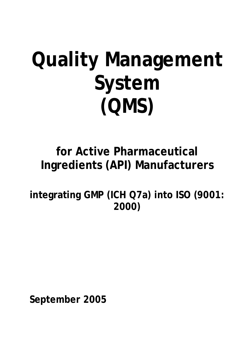# **Quality Management System (QMS)**

## **for Active Pharmaceutical Ingredients (API) Manufacturers**

**integrating GMP (ICH Q7a) into ISO (9001: 2000)** 

**September 2005**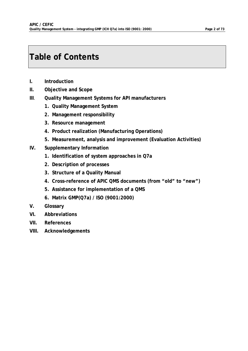### **Table of Contents**

- **I. Introduction**
- **II. Objective and Scope**
- **III**. **Quality Management Systems for API manufacturers**
	- **1. Quality Management System**
	- *2.* **Management responsibility**
	- **3. Resource management**
	- **4. Product realization (Manufacturing Operations)**
	- **5. Measurement, analysis and improvement (Evaluation Activities)**
- **IV. Supplementary Information** 
	- **1. Identification of system approaches in Q7a**
	- **2. Description of processes**
	- **3. Structure of a Quality Manual**
	- **4. Cross-reference of APIC QMS documents (from "old" to "new")**
	- **5. Assistance for implementation of a QMS**
	- **6. Matrix GMP(Q7a) / ISO (9001:2000)**
- **V. Glossary**
- **VI. Abbreviations**
- **VII. References**
- **VIII. Acknowledgements**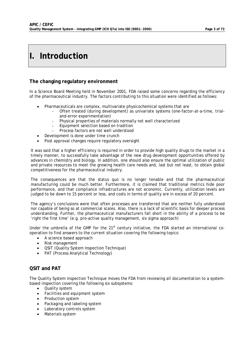### **I. Introduction**

#### **The changing regulatory environment**

In a Science Board Meeting held in November 2001, FDA raised some concerns regarding the efficiency of the pharmaceutical industry. The factors contributing to this situation were identified as follows:

- Pharmaceuticals are complex, multivariate physicochemical systems that are
	- Often treated (during development) as univariate systems (one-factor-at-a-time, trialand-error experimentation)
	- Physical properties of materials normally not well characterized
	- Equipment selection based on tradition
	- Process factors are not well understood
	- Development is done under time crunch
- Post approval changes require regulatory oversight

It was said that a *higher efficiency* is required in order to provide high quality drugs to the market in a timely manner, to successfully take advantage of the new drug development opportunities offered by advances in chemistry and biology. In addition, one should also ensure the optimal utilization of public and private resources to meet the growing health care needs and, last but not least, to obtain global competitiveness for the pharmaceutical industry.

The consequences are that the status quo is no longer tenable and that the pharmaceutical manufacturing could be much better. Furthermore, it is claimed that traditional metrics hide poor performance, and that compliance infrastructures are not economic. Currently, utilization levels are judged to be down to 15 percent or less, and costs in terms of quality are in excess of 20 percent.

The agency's conclusions were that often processes are transferred that are neither fully understood nor capable of being so at commercial scales. Also, there is a lack of scientific basis for deeper process understanding. Further, the pharmaceutical manufacturers fall short in the ability of a process to be 'right the first time' (e.g. pro-active quality management, six sigma approach)

Under the umbrella of the GMP for the  $21<sup>st</sup>$  century initiative, the FDA started an international cooperation to find answers to the current situation covering the following topics:

- A science based approach
- Risk management
- QSIT (Quality System Inspection Technique)
- PAT (Process Analytical Technology)

### **QSIT and PAT**

The Quality System Inspection Technique moves the FDA from reviewing all documentation to a systembased inspection covering the following six subsystems:

- Quality system
- Facilities and equipment system
- Production system
- Packaging and labeling system
- Laboratory controls system
- Materials system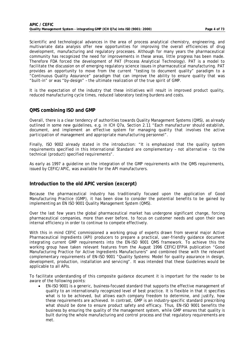Scientific and technological advances in the area of process analytical chemistry, engineering, and multivariate data analysis offer new opportunities for improving the overall efficiencies of drug development, manufacturing and regulatory processes. Although for many years the pharmaceutical community has recognized the need for improvements in these areas, little progress has been made. Therefore FDA forced the development of PAT (Process Analytical Technology). PAT is a model to facilitate the discussion on of emerging regulatory science issues in pharmaceutical manufacturing. PAT provides an opportunity to move from the current "testing to document quality" paradigm to a "Continuous Quality Assurance" paradigm that can improve the ability to ensure quality that was "built-in" or was "by-design" – the ultimate realization of the true spirit of GMP.

It is the expectation of the industry that these initiatives will result in improved product quality, reduced manufacturing cycle times, reduced laboratory testing burdens and costs.

#### **QMS combining ISO and GMP**

Overall, there is a clear tendency of authorities towards Quality Management Systems (QMS), as already outlined in some new guidelines, e.g. in ICH Q7a, Section 2.11 *"Each manufacturer should establish,*  document, and implement an effective system for managing quality that involves the active *participation of management and appropriate manufacturing personnel"*.

Finally, ISO 9002 already stated in the introduction: *"It is emphasized that the quality system requirements specified in this International Standard are complementary – not alternative - to the technical (product) specified requirements"*.

As early as 1997 a guideline on the integration of the GMP requirements with the QMS requirements, issued by CEFIC/APIC, was available for the API manufacturers.

#### **Introduction to the old APIC version (excerpt)**

Because the pharmaceutical industry has traditionally focused upon the application of Good Manufacturing Practice (GMP), it has been slow to consider the potential benefits to be gained by implementing an EN ISO 9001 Quality Management System (QMS).

Over the last few years the global pharmaceutical market has undergone significant change, forcing pharmaceutical companies, more than ever before, to focus on customer needs and upon their own internal efficiency in order to continue to compete effectively.

With this in mind CEFIC commissioned a working group of experts drawn from several major Active Pharmaceutical Ingredients (API) producers to prepare a practical, user-friendly guidance document integrating current GMP requirements into the EN-ISO 9001 QMS framework. To achieve this the working group have taken relevant features from the August 1996 CEFIC/EFPIA publication "Good Manufacturing Practice for Active Ingredients Manufacturers" and combined these with the relevant complementary requirements of EN-ISO 9001 "Quality Systems: Model for quality assurance in design, development, production, installation and servicing". It was intended that these Guidelines would be applicable to all APIs.

To facilitate understanding of this composite guidance document it is important for the reader to be aware of the following points:

• EN-ISO 9001 is a generic, business-focused standard that supports the effective management of quality to an internationally recognized level of best practice. It is flexible in that it specifies what is to be achieved, but allows each company freedom to determine, and justify, how these requirements are achieved. In contrast, GMP is an industry-specific standard prescribing what should be done to ensure product safety and efficacy. Thus, EN-ISO 9001 benefits the business by ensuring the quality of the management system, while GMP ensures that quality is built during the whole manufacturing and control process and that regulatory requirements are met.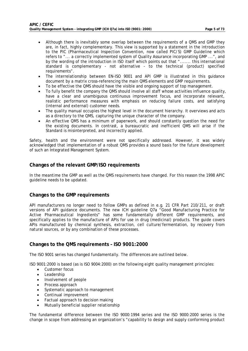- Although there is inevitably some overlap between the requirements of a QMS and GMP they are, in fact, highly complementary. This view is supported by a statement in the introduction to the PIC (Pharmaceutical Inspection Convention, now called PIC/S) GMP Guideline which refers to "... a correctly implemented system of Quality Assurance incorporating GMP ...", and by the wording of the introduction in ISO itself which points out that "....... this international standard is complementary - not alternative - to the technical (product) specified requirements".
- The interrelationship between EN-ISO 9001 and API GMP is illustrated in this guidance document by a matrix cross-referencing the main QMS elements and GMP requirements.
- To be effective the QMS should have the visible and ongoing support of top management.
- To fully benefit the company the QMS should involve all staff whose activities influence quality, have a clear and unambiguous continuous improvement focus, and incorporate relevant, realistic performance measures with emphasis on reducing failure costs, and satisfying (internal and external) customer needs.
- The quality manual occupies the highest level in the document hierarchy. It overviews and acts as a directory to the QMS, capturing the unique character of the company.
- An effective QMS has a minimum of paperwork, and should constantly question the need for the existing documents. In contrast, a bureaucratic and inefficient QMS will arise if the Standard is misinterpreted, and incorrectly applied.

Safety, health and the environment were not specifically addressed. However, it was widely acknowledged that implementation of a robust QMS provides a sound basis for the future development of such an Integrated Management System.

#### **Changes of the relevant GMP/ISO requirements**

In the meantime the GMP as well as the QMS requirements have changed. For this reason the 1998 APIC guideline needs to be updated.

#### **Changes to the GMP requirements**

API manufacturers no longer need to follow GMPs as defined in e.g. 21 CFR Part 210/211, or draft versions of API guidance documents. The new ICH guideline Q7a "Good Manufacturing Practice for Active Pharmaceutical Ingredients" has some fundamentally different GMP requirements, and specifically applies to the manufacture of APIs for use in drug (medicinal) products. The guide covers APIs manufactured by chemical synthesis, extraction, cell culture/fermentation, by recovery from natural sources, or by any combination of these processes.

#### **Changes to the QMS requirements – ISO 9001:2000**

The ISO 9001 series has changed fundamentally. The differences are outlined below.

ISO 9001:2000 is based (as is ISO 9004:2000) on the following eight quality management principles:

- Customer focus
- **Leadership**
- Involvement of people
- Process approach
- Systematic approach to management
- Continual improvement
- Factual approach to decision making
- Mutually beneficial supplier relationship

The fundamental difference between the ISO 9000:1994 series and the ISO 9000:2000 series is the change in scope from addressing an organization's "capability to design and supply conforming product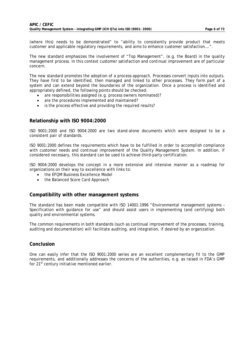(where this) needs to be demonstrated" to "ability to consistently provide product that meets customer and applicable regulatory requirements, and aims to enhance customer satisfaction….".

The new standard emphasizes the involvement of "Top Management", (e.g. the Board) in the quality management process. In this context customer satisfaction and continual improvement are of particular concern.

The new standard promotes the adoption of a process-approach. Processes convert inputs into outputs. They have first to be identified, then managed and linked to other processes. They form part of a system and can extend beyond the boundaries of the organization. Once a process is identified and appropriately defined, the following points should be checked:

- are responsibilities assigned (e.g. process owners nominated)?
- are the procedures implemented and maintained?
- is the process effective and providing the required results?

#### **Relationship with ISO 9004:2000**

ISO 9001:2000 and ISO 9004:2000 are two stand-alone documents which were designed to be a consistent pair of standards.

ISO 9001:2000 defines the requirements which have to be fulfilled in order to accomplish compliance with customer needs and continual improvement of the Quality Management System. In addition, if considered necessary, this standard can be used to achieve third-party certification.

ISO 9004:2000 develops the concept in a more extensive and intensive manner as a roadmap for organizations on their way to excellence with links to:

- the EFQM Business Excellence Model
- the Balanced Score Card Approach

#### **Compatibility with other management systems**

The standard has been made compatible with ISO 14001:1996 "Environmental management systems – Specification with guidance for use" and should assist users in implementing (and certifying) both quality and environmental systems.

The common requirements in both standards (such as continual improvement of the processes, training, auditing and documentation) will facilitate auditing, and integration, if desired by an organization.

#### **Conclusion**

One can easily infer that the ISO 9001:2000 series are an excellent complementary fit to the GMP requirements, and additionally addresses the concerns of the authorities, e.g. as raised in FDA's GMP for 21<sup>st</sup> century initiative mentioned earlier.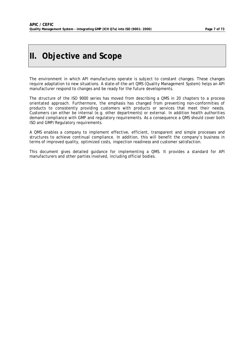### **II. Objective and Scope**

The environment in which API manufactures operate is subject to constant changes. These changes require adaptation to new situations. A state-of-the-art QMS (Quality Management System) helps an API manufacturer respond to changes and be ready for the future developments.

The structure of the ISO 9000 series has moved from describing a QMS in 20 chapters to a process orientated approach. Furthermore, the emphasis has changed from preventing non-conformities of products to consistently providing customers with products or services that meet their needs. Customers can either be internal (e.g. other departments) or external. In addition health authorities demand compliance with GMP and regulatory requirements. As a consequence a QMS should cover both ISO and GMP/Regulatory requirements.

A QMS enables a company to implement effective, efficient, transparent and simple processes and structures to achieve continual compliance. In addition, this will benefit the company's business in terms of improved quality, optimized costs, inspection readiness and customer satisfaction.

This document gives detailed guidance for implementing a QMS. It provides a standard for API manufacturers and other parties involved, including official bodies.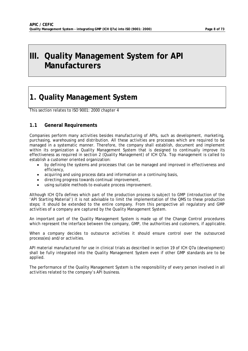### **III. Quality Management System for API Manufacturers**

### **1. Quality Management System**

This section relates to ISO 9001: 2000 chapter 4

#### **1.1 General Requirements**

Companies perform many activities besides manufacturing of APIs, such as development, marketing, purchasing, warehousing and distribution. All these activities are processes which are required to be managed in a systematic manner. Therefore, the company shall establish, document and implement within its organization a Quality Management System that is designed to continually improve its effectiveness as required in section 2 (Quality Management) of ICH Q7a. Top management is called to establish a customer oriented organization:

- by defining the systems and processes that can be managed and improved in effectiveness and efficiency,
- acquiring and using process data and information on a continuing basis,
- directing progress towards continual improvement,
- using suitable methods to evaluate process improvement.

Although ICH Q7a defines which part of the production process is subject to GMP (introduction of the 'API Starting Material') it is not advisable to limit the implementation of the QMS to these production steps; it should be extended to the entire company. From this perspective all regulatory and GMP activities of a company are captured by the Quality Management System.

An important part of the Quality Management System is made up of the Change Control procedures which represent the interface between the company, GMP, the authorities and customers, if applicable.

When a company decides to outsource activities it should ensure control over the outsourced process(es) and/or activities.

API material manufactured for use in clinical trials as described in section 19 of ICH Q7a (development) shall be fully integrated into the Quality Management System even if other GMP standards are to be applied.

The performance of the Quality Management System is the responsibility of every person involved in all activities related to the company's API business.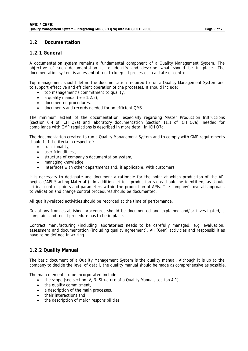#### **1.2 Documentation**

#### **1.2.1 General**

A documentation system remains a fundamental component of a Quality Management System. The objective of such documentation is to identify and describe what should be in place. The documentation system is an essential tool to keep all processes in a state of control.

Top management should define the documentation required to run a Quality Management System and to support effective and efficient operation of the processes. It should include:

- top management's commitment to quality,
- a quality manual (see 1.2.2),
- documented procedures,
- documents and records needed for an efficient QMS.

The minimum extent of the documentation, especially regarding Master Production Instructions (section 6.4 of ICH Q7a) and laboratory documentation (section 11.1 of ICH Q7a), needed for compliance with GMP regulations is described in more detail in ICH Q7a.

The documentation created to run a Quality Management System and to comply with GMP requirements should fulfill criteria in respect of:

- functionality,
- user friendliness,
- structure of company's documentation system,
- managing knowledge,
- interfaces with other departments and, if applicable, with customers.

It is necessary to designate and document a rationale for the point at which production of the API begins ('API Starting Material'). In addition critical production steps should be identified, as should critical control points and parameters within the production of APIs. The company's overall approach to validation and change control procedures should be documented.

All quality-related activities should be recorded at the time of performance.

Deviations from established procedures should be documented and explained and/or investigated, a complaint and recall procedure has to be in place.

Contract manufacturing (including laboratories) needs to be carefully managed, e.g. evaluation, assessment and documentation (including quality agreement). All (GMP) activities and responsibilities have to be defined in writing.

#### **1.2.2 Quality Manual**

The basic document of a Quality Management System is the quality manual. Although it is up to the company to decide the level of detail, the quality manual should be made as comprehensive as possible.

The main elements to be incorporated include:

- the scope (see section IV, 3. Structure of a Quality Manual, section 4.1),
- the quality commitment,
- a description of the main processes.
- their interactions and
- the description of major responsibilities.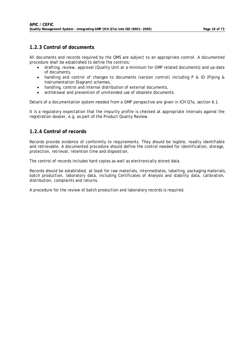#### **1.2.3 Control of documents**

All documents and records required by the QMS are subject to an appropriate control. A documented procedure shall be established to define the controls:

- drafting, review, approval (Quality Unit at a minimum for GMP related documents) and up-date of documents,
- handling and control of changes to documents (version control) including P & ID (Piping & Instrumentation Diagram) schemes,
- handling, control and internal distribution of external documents,
- withdrawal and prevention of unintended use of obsolete documents.

Details of a documentation system needed from a GMP perspective are given in ICH Q7a, section 6.1.

It is a regulatory expectation that the impurity profile is checked at appropriate intervals against the registration dossier, e.g. as part of the Product Quality Review.

#### **1.2.4 Control of records**

Records provide evidence of conformity to requirements. They should be legible, readily identifiable and retrievable. A documented procedure should define the control needed for identification, storage, protection, retrieval, retention time and disposition.

The control of records includes hard copies as well as electronically stored data.

Records should be established, at least for raw materials, intermediates, labelling, packaging materials, batch production, laboratory data, including Certificates of Analysis and stability data, calibration, distribution, complaints and returns.

A procedure for the review of batch production and laboratory records is required.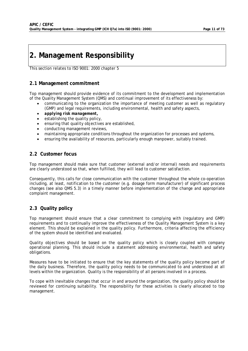### **2. Management Responsibility**

This section relates to ISO 9001: 2000 chapter 5

#### **2.1 Management commitment**

Top management should provide evidence of its commitment to the development and implementation of the Quality Management System (QMS) and continual improvement of its effectiveness by:

- communicating to the organization the importance of meeting customer as well as regulatory (GMP) and legal requirements, including environmental, health and safety aspects,
- *applying risk management,*
- establishing the quality policy,
- ensuring that quality objectives are established,
- conducting management reviews,
- maintaining appropriate conditions throughout the organization for processes and systems,
- ensuring the availability of resources, particularly enough manpower, suitably trained.

#### **2.2 Customer focus**

Top management should make sure that customer (external and/or internal) needs and requirements are clearly understood so that, when fulfilled, they will lead to customer satisfaction.

Consequently, this calls for close communication with the customer throughout the whole co-operation including, at least, notification to the customer (e.g. dosage form manufacturer) of significant process changes (see also QMS 5.3) in a timely manner before implementation of the change and appropriate complaint management.

### **2.3 Quality policy**

Top management should ensure that a clear commitment to complying with (regulatory and GMP) requirements and to continually improve the effectiveness of the Quality Management System is a key element. This should be explained in the quality policy. Furthermore, criteria affecting the efficiency of the system should be identified and evaluated.

Quality objectives should be based on the quality policy which is closely coupled with company operational planning. This should include a statement addressing environmental, health and safety obligations.

Measures have to be initiated to ensure that the key statements of the quality policy become part of the daily business. Therefore, the quality policy needs to be communicated to and understood at all levels within the organization. Quality is the responsibility of all persons involved in a process.

To cope with inevitable changes that occur in and around the organization, the quality policy should be reviewed for continuing suitability. The responsibility for these activities is clearly allocated to top management.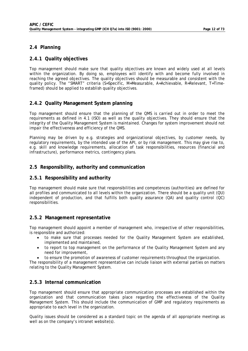#### **2.4 Planning**

#### **2.4.1 Quality objectives**

Top management should make sure that quality objectives are known and widely used at all levels within the organization. By doing so, employees will identify with and become fully involved in reaching the agreed objectives. The quality objectives should be measurable and consistent with the quality policy. The "SMART" criteria (S=Specific, M=Measurable, A=Achievable, R=Relevant, T=Timeframed) should be applied to establish quality objectives.

#### **2.4.2 Quality Management System planning**

Top management should ensure that the planning of the QMS is carried out in order to meet the requirements as defined in 4.1 (ISO) as well as the quality objectives. They should ensure that the integrity of the Quality Management System is maintained. Changes for system improvement should not impair the effectiveness and efficiency of the QMS.

Planning may be driven by e.g. strategies and organizational objectives, by customer needs, by regulatory requirements, by the intended use of the API, or by risk management. This may give rise to, e.g. skill and knowledge requirements, allocation of task responsibilities, resources (financial and infrastructure), performance metrics, contingency plans.

#### **2.5 Responsibility, authority and communication**

#### **2.5.1 Responsibility and authority**

Top management should make sure that responsibilities and competences (authorities) are defined for all profiles and communicated to all levels within the organization. There should be a quality unit (QU) independent of production, and that fulfills both quality assurance (QA) and quality control (QC) responsibilities.

#### **2.5.2 Management representative**

Top management should appoint a member of management who, irrespective of other responsibilities, is responsible and authorized:

- to make sure that processes needed for the Quality Management System are established, implemented and maintained,
- to report to top management on the performance of the Quality Management System and any need for improvement,
	- to ensure the promotion of awareness of customer requirements throughout the organization.

The responsibility of a management representative can include liaison with external parties on matters relating to the Quality Management System.

#### **2.5.3 Internal communication**

Top management should ensure that appropriate communication processes are established within the organization and that communication takes place regarding the effectiveness of the Quality Management System. This should include the communication of GMP and regulatory requirements as appropriate to each level in the organization.

Quality issues should be considered as a standard topic on the agenda of all appropriate meetings as well as on the company's intranet website(s).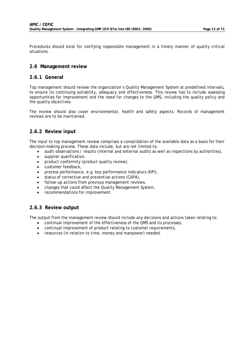Procedures should exist for notifying responsible management in a timely manner of quality critical situations.

#### **2.6 Management review**

#### **2.6.1 General**

Top management should review the organization's Quality Management System at predefined intervals, to ensure its continuing suitability, adequacy and effectiveness. This review has to include assessing opportunities for improvement and the need for changes to the QMS, including the quality policy and the quality objectives.

The review should also cover environmental, health and safety aspects. Records of management reviews are to be maintained.

#### **2.6.2 Review input**

The input to top management review comprises a consolidation of the available data as a basis for their decision-making process. These data include, but are not limited to:

- audit observations / results (internal and external audits as well as inspections by authorities),
- supplier qualification,
- product conformity (product quality review),
- customer feedback,
- process performance, e.g. key performance indicators (KPI),
- status of corrective and preventive actions (CAPA),
- follow-up actions from previous management reviews,
- changes that could affect the Quality Management System,
- recommendations for improvement.

#### **2.6.3 Review output**

The output from the management review should include any decisions and actions taken relating to:

- continual improvement of the effectiveness of the QMS and its processes,
- continual improvement of product relating to customer requirements,
- resources (in relation to time, money and manpower) needed.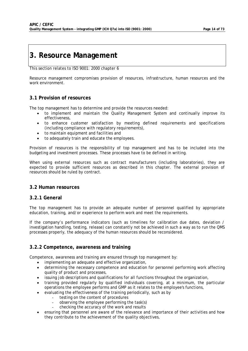### **3. Resource Management**

This section relates to ISO 9001: 2000 chapter 6

Resource management compromises provision of resources, infrastructure, human resources and the work environment.

#### **3.1 Provision of resources**

The top management has to determine and provide the resources needed:

- to implement and maintain the Quality Management System and continually improve its effectiveness,
- to enhance customer satisfaction by meeting defined requirements and specifications (including compliance with regulatory requirements),
- to maintain equipment and facilities and
- to adequately train and educate the employees.

Provision of resources is the responsibility of top management and has to be included into the budgeting and investment processes. These processes have to be defined in writing.

When using external resources such as contract manufacturers (including laboratories), they are expected to provide sufficient resources as described in this chapter. The external provision of resources should be ruled by contract.

#### **3.2 Human resources**

#### **3.2.1 General**

The top management has to provide an adequate number of personnel qualified by appropriate education, training, and/or experience to perform work and meet the requirements.

If the company's performance indicators (such as timelines for calibration due dates, deviation / investigation handling, testing, release) can constantly not be achieved in such a way as to run the QMS processes properly, the adequacy of the human resources should be reconsidered.

#### **3.2.2 Competence, awareness and training**

Competence, awareness and training are ensured through top management by:

- implementing an adequate and effective organization,
- determining the necessary competence and education for personnel performing work affecting quality of product and processes,
- issuing job descriptions and qualifications for all functions throughout the organization,
- training provided regularly by qualified individuals covering, at a minimum, the particular operations the employee performs and GMP as it relates to the employee's functions,
	- evaluating the effectiveness of the training periodically, such as by
		- testing on the content of procedures
			- observing the employee performing the task(s)
			- checking the accuracy of the work and results
- ensuring that personnel are aware of the relevance and importance of their activities and how they contribute to the achievement of the quality objectives,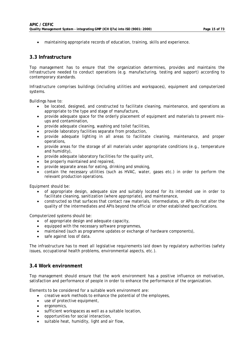• maintaining appropriate records of education, training, skills and experience.

#### **3.3 Infrastructure**

Top management has to ensure that the organization determines, provides and maintains the infrastructure needed to conduct operations (e.g. manufacturing, testing and support) according to contemporary standards.

Infrastructure comprises buildings (including utilities and workspaces), equipment and computerized systems.

Buildings have to:

- be located, designed, and constructed to facilitate cleaning, maintenance, and operations as appropriate to the type and stage of manufacture,
- provide adequate space for the orderly placement of equipment and materials to prevent mixups and contamination,
- provide adequate cleaning, washing and toilet facilities,
- provide laboratory facilities separate from production,
- provide adequate lighting in all areas to facilitate cleaning, maintenance, and proper operations,
- provide areas for the storage of all materials under appropriate conditions (e.g., temperature and humidity),
- provide adequate laboratory facilities for the quality unit,
- be properly maintained and repaired,
- provide separate areas for eating, drinking and smoking,
- contain the necessary utilities (such as HVAC, water, gases etc.) in order to perform the relevant production operations.

Equipment should be:

- of appropriate design, adequate size and suitably located for its intended use in order to facilitate cleaning, sanitization (where appropriate), and maintenance,
- constructed so that surfaces that contact raw materials, intermediates, or APIs do not alter the quality of the intermediates and APIs beyond the official or other established specifications.

Computerized systems should be:

- of appropriate design and adequate capacity,
- equipped with the necessary software programmes,
- maintained (such as programme updates or exchange of hardware components),
- safe against loss of data.

The infrastructure has to meet all legislative requirements laid down by regulatory authorities (safety issues, occupational health problems, environmental aspects, etc.).

#### **3.4 Work environment**

Top management should ensure that the work environment has a positive influence on motivation, satisfaction and performance of people in order to enhance the performance of the organization.

Elements to be considered for a suitable work environment are:

- creative work methods to enhance the potential of the employees,
- use of protective equipment,
- ergonomics,
- sufficient workspaces as well as a suitable location,
- opportunities for social interaction,
- suitable heat, humidity, light and air flow,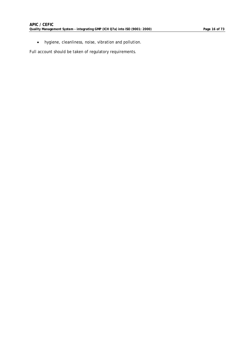• hygiene, cleanliness, noise, vibration and pollution.

Full account should be taken of regulatory requirements.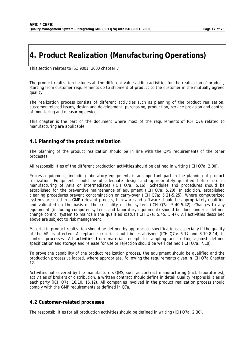### **4. Product Realization (Manufacturing Operations)**

This section relates to ISO 9001: 2000 chapter 7

The product realization includes all the different value adding activities for the realization of product, starting from customer requirements up to shipment of product to the customer in the mutually agreed quality.

The realization process consists of different activities such as planning of the product realization, customer-related issues, design and development, purchasing, production, service provision and control of monitoring and measuring devices.

This chapter is the part of the document where most of the requirements of ICH Q7a related to manufacturing are applicable.

#### **4.1 Planning of the product realization**

The planning of the product realization should be in line with the QMS requirements of the other processes.

All responsibilities of the different production activities should be defined in writing (ICH Q7a: 2.30).

Process equipment, including laboratory equipment, is an important part in the planning of product realization. Equipment should be of adequate design and appropriately qualified before use in manufacturing of APIs or intermediates (ICH Q7a: 5.16). Schedules and procedures should be established for the preventive maintenance of equipment (ICH Q7a: 5.20). In addition, established cleaning procedures prevent contamination or carry-over (ICH Q7a: 5.21-5.25). Where computerized systems are used in a GMP relevant process, hardware and software should be appropriately qualified and validated on the basis of the criticality of the system (ICH Q7a: 5.40-5.42). Changes to any equipment (including computer systems and laboratory equipment) should be done under a defined change control system to maintain the qualified status (ICH Q7a: 5.45, 5.47). All activities described above are subject to risk management.

Material in product realization should be defined by appropriate specifications, especially if the quality of the API is affected. Acceptance criteria should be established (ICH Q7a: 6.17 and 8.10-8.14) to control processes. All activities from material receipt to sampling and testing against defined specification and storage and release for use or rejection should be well defined (ICH Q7a: 7.10).

To prove the capability of the product realization process, the equipment should be qualified and the production process validated, where appropriate, following the requirements given in ICH Q7a Chapter 12.

Activities not covered by the manufacturers QMS, such as contract manufacturing (incl. laboratories), activities of brokers or distribution, a written contract should define in detail Quality responsibilities of each party (ICH Q7a: 16.10, 16.12). All companies involved in the product realization process should comply with the GMP requirements as defined in Q7a.

#### **4.2 Customer-related processes**

The responsibilities for all production activities should be defined in writing (ICH Q7a: 2.30).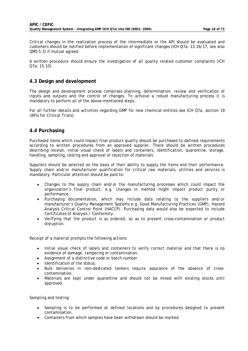Critical changes in the realization process of the intermediate or the API should be evaluated and customers should be notified before implementation of significant changes (ICH Q7a: 13.16/17, see also QMS 5.3) if mutual agreed.

A written procedure should ensure the investigation of all quality related customer complaints (ICH Q7a: 15.10).

#### **4.3 Design and development**

The design and development process comprises planning, determination, review and verification of inputs and outputs and the control of changes. To achieve a robust manufacturing process it is mandatory to perform all of the above-mentioned steps.

For all further details and activities regarding GMP for new chemical entities see ICH Q7a, section 19 (APIs for Clinical Trials).

#### **4.4 Purchasing**

Purchased items which could impact final product quality should be purchased to defined requirements according to written procedures from an approved supplier. There should be written procedures describing receipt, initial visual check of labels and containers, identification, quarantine, storage, handling, sampling, testing and approval or rejection of materials.

Suppliers should be selected on the basis of their ability to supply the items and their performance. Supply chain and/or manufacturer qualification for critical raw materials, utilities and services is mandatory. Particular attention should be paid to:

- Changes to the supply chain and/or the manufacturing processes which could impact the organization's final product, e.g. changes in method might impact product purity or performance.
- Purchasing documentation, which may include data relating to the suppliers and/or manufacturer's Quality Management Systems e.g. Good Manufacturing Practices (GMP), Hazard Analysis Critical Control Point (HACCP). Purchasing data would also be expected to include Certificates of Analysis / Conformity.
- Verifying that the product is as ordered, so as to prevent cross-contamination or product disruption.

Receipt of a material prompts the following actions:

- Initial visual check of labels and containers to verify correct material and that there is no evidence of damage, tampering or contamination.
- Assignment of a distinctive code or batch number.
- Identification of the status.
- Bulk deliveries in non-dedicated tankers require assurance of the absence of crosscontamination.
- Materials are kept under quarantine and should not be mixed with existing stocks until approved.

Sampling and testing:

- Sampling is to be performed at defined locations and by procedures designed to prevent contamination.
- Containers from which samples have been withdrawn should be marked.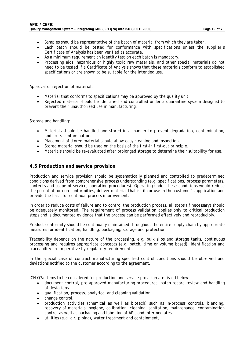- Samples should be representative of the batch of material from which they are taken.
- Each batch should be tested for conformance with specifications unless the supplier's Certificate of Analysis has been verified as accurate.
- As a minimum requirement an identity test on each batch is mandatory.
- Processing aids, hazardous or highly toxic raw materials, and other special materials do not need to be tested if a Certificate of Analysis shows that these materials conform to established specifications or are shown to be suitable for the intended use.

Approval or rejection of material:

- Material that conforms to specifications may be approved by the quality unit.
- Rejected material should be identified and controlled under a quarantine system designed to prevent their unauthorized use in manufacturing.

Storage and handling:

- Materials should be handled and stored in a manner to prevent degradation, contamination, and cross-contamination.
- Placement of stored material should allow easy cleaning and inspection.
- Stored material should be used on the basis of the first-in first-out principle.
- Materials should be re-evaluated after prolonged storage to determine their suitability for use.

#### **4.5 Production and service provision**

Production and service provision should be systematically planned and controlled to predetermined conditions derived from comprehensive process understanding (e.g. specifications, process parameters, contents and scope of service, operating procedures). Operating under these conditions would reduce the potential for non-conformities, deliver material that is fit for use in the customer's application and provide the basis for continual process improvement.

In order to reduce costs of failure and to control the production process, all steps (if necessary) should be adequately monitored. The requirement of process validation applies only to critical production steps and is documented evidence that the process can be performed effectively and reproducibly.

Product conformity should be continually maintained throughout the entire supply chain by appropriate measures for identification, handling, packaging, storage and protection.

Traceability depends on the nature of the processing, e.g. bulk silos and storage tanks, continuous processing and requires appropriate concepts (e.g. batch, time or volume based). Identification and traceability are imperative by regulatory requirements.

In the special case of contract manufacturing specified control conditions should be observed and deviations notified to the customer according to the agreement.

ICH Q7a items to be considered for production and service provision are listed below:

- document control, pre-approved manufacturing procedures, batch record review and handling of deviations,
- qualification, process, analytical and cleaning validation,
- change control,
- production activities (chemical as well as biotech) such as in-process controls, blending, recovery of materials, hygiene, calibration, cleaning, sanitation, maintenance, contamination control as well as packaging and labelling of APIs and intermediates,
- utilities (e.g. air, piping), water treatment and containment,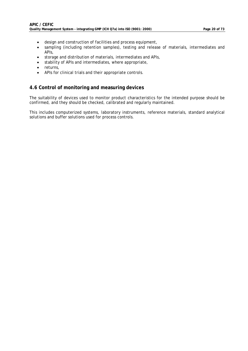- design and construction of facilities and process equipment,
- sampling (including retention samples), testing and release of materials, intermediates and APIs,
- storage and distribution of materials, intermediates and APIs,
- stability of APIs and intermediates, where appropriate,
- returns,
- APIs for clinical trials and their appropriate controls.

#### **4.6 Control of monitoring and measuring devices**

The suitability of devices used to monitor product characteristics for the intended purpose should be confirmed, and they should be checked, calibrated and regularly maintained.

This includes computerized systems, laboratory instruments, reference materials, standard analytical solutions and buffer solutions used for process controls.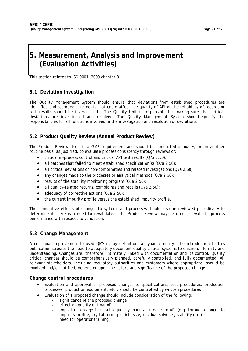### **5. Measurement, Analysis and Improvement (Evaluation Activities)**

This section relates to ISO 9001: 2000 chapter 8

### **5.1 Deviation Investigation**

The Quality Management System should ensure that deviations from established procedures are identified and recorded. Incidents that could affect the quality of API or the reliability of records or test results should be investigated. The Quality Unit is responsible for making sure that critical deviations are investigated and resolved. The Quality Management System should specify the responsibilities for all functions involved in the investigation and resolution of deviations.

### **5.2 Product Quality Review (Annual Product Review)**

The Product Review itself is a GMP requirement and should be conducted annually, or on another routine basis, as justified, to evaluate process consistency through reviews of:

- critical in-process control and critical API test results (Q7a 2.50);
- all batches that failed to meet established specification(s)  $(Q7a 2.50)$ ;
- all critical deviations or non-conformities and related investigations (Q7a 2.50);
- any changes made to the processes or analytical methods (Q7a 2.50);
- results of the stability monitoring program (Q7a 2.50);
- all quality-related returns, complaints and recalls (Q7a 2.50);
- adequacy of corrective actions (Q7a 2.50);
- the current impurity profile versus the established impurity profile.

The cumulative effects of changes to systems and processes should also be reviewed periodically to determine if there is a need to revalidate. The Product Review may be used to evaluate process performance with respect to validation.

### **5.3 Change Management**

A continual improvement-focused QMS is, by definition, a dynamic entity. The introduction to this publication stresses the need to adequately document quality critical systems to ensure uniformity and understanding. Changes are, therefore, intimately linked with documentation and its control. Quality critical changes should be comprehensively planned, carefully controlled, and fully documented. All relevant stakeholders, including regulatory authorities and customers where appropriate, should be involved and/or notified, depending upon the nature and significance of the proposed change.

#### **Change control procedures**

- Evaluation and approval of proposed changes to specifications, test procedures, production processes, production equipment, etc., should be controlled by written procedures.
- Evaluation of a proposed change should include consideration of the following:
	- significance of the proposed change
	- effect on quality of final API
	- impact on dosage form subsequently manufactured from API (e.g. through changes to impurity profile, crystal form, particle size, residual solvents, stability etc.)
	- need for operator training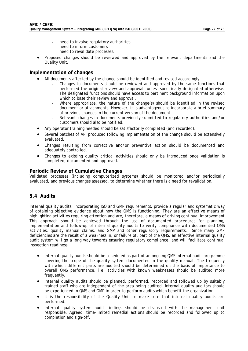- need to involve regulatory authorities
- need to inform customers
- need to revalidate processes.
- Proposed changes should be reviewed and approved by the relevant departments and the Quality Unit.

#### **Implementation of changes**

- All documents affected by the change should be identified and revised accordingly.
	- Changes to documents should be reviewed and approved by the same functions that performed the original review and approval, unless specifically designated otherwise. The designated functions should have access to pertinent background information upon which to base their review and approval.
	- Where appropriate, the nature of the change(s) should be identified in the revised document or attachments. However, it is advantageous to incorporate a brief summary of previous changes in the current version of the document.
	- Relevant changes in documents previously submitted to regulatory authorities and/or customers should also be notified.
- Any operator training needed should be satisfactorily completed (and recorded).
- Several batches of API produced following implementation of the change should be extensively evaluated.
- Changes resulting from corrective and/or preventive action should be documented and adequately controlled.
- Changes to existing quality critical activities should only be introduced once validation is completed, documented and approved.

#### **Periodic Review of Cumulative Changes**

Validated processes (including computerized systems) should be monitored and/or periodically evaluated, and previous changes assessed, to determine whether there is a need for revalidation.

#### **5.4 Audits**

Internal quality audits, incorporating ISO and GMP requirements, provide a regular and systematic way of obtaining objective evidence about how the QMS is functioning. They are an effective means of highlighting activities requiring attention and are, therefore, a means of driving continual improvement. This approach should be achieved through the use of documented procedures for planning, implementation and follow-up of internal quality audits to verify compliance with documented QMS activities, quality manual claims, and GMP and other regulatory requirements. Since many GMP deficiencies are the result of a weakness in, or failure of, part of the QMS, an effective internal quality audit system will go a long way towards ensuring regulatory compliance, and will facilitate continual inspection readiness.

- Internal quality audits should be scheduled as part of an ongoing QMS internal audit programme covering the scope of the quality system documented in the quality manual. The frequency with which different parts are audited should be determined on the basis of importance to overall QMS performance, i.e. activities with known weaknesses should be audited more frequently.
- Internal quality audits should be planned, performed, recorded and followed up by suitably trained staff who are independent of the area being audited. Internal quality auditors should be experienced in QMS and GMP in order to perform audits which benefit the organization.
- It is the responsibility of the Quality Unit to make sure that internal quality audits are performed.
- Internal quality system audit findings should be discussed with the management unit responsible. Agreed, time-limited remedial actions should be recorded and followed up to completion and sign-off.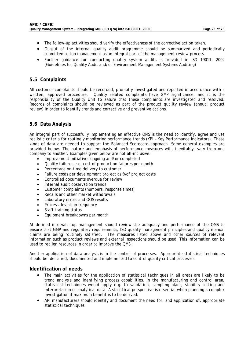- The follow-up activities should verify the effectiveness of the corrective action taken.
- Output of the internal quality audit programme should be summarized and periodically submitted to top management as an integral part of the management review process.
- Further guidance for conducting quality system audits is provided in ISO 19011: 2002 (Guidelines for Quality Audit and/or Environment Management Systems Auditing)

#### **5.5 Complaints**

All customer complaints should be recorded, promptly investigated and reported in accordance with a written, approved procedure. Quality related complaints have GMP significance, and it is the responsibility of the Quality Unit to assure that these complaints are investigated and resolved. Records of complaints should be reviewed as part of the product quality review (annual product review) in order to identify trends and corrective and preventive actions.

#### **5.6 Data Analysis**

An integral part of successfully implementing an effective QMS is the need to identify, agree and use realistic criteria for routinely monitoring performance trends (KPI – Key Performance Indicators). These kinds of data are needed to support the Balanced Scorecard approach. Some general examples are provided below. The nature and emphasis of performance measures will, inevitably, vary from one company to another. Examples given below are not all-inclusive:

- Improvement initiatives ongoing and/or completed
- Quality failures e.g. cost of production failures per month
- Percentage on-time delivery to customer
- Failure costs per development project as % of project costs
- Controlled documents overdue for review
- Internal audit observation trends
- Customer complaints (numbers, response times)
- Recalls and other market withdrawals
- Laboratory errors and OOS results
- Process deviation frequency
- Staff training status
- Equipment breakdowns per month

At defined intervals top management should review the adequacy and performance of the QMS to ensure that GMP and regulatory requirements, ISO quality management principles and quality manual claims are being routinely satisfied. The measures listed above and other sources of relevant information such as product reviews and external inspections should be used. This information can be used to realign resources in order to improve the QMS.

Another application of data analysis is in the control of processes. Appropriate statistical techniques should be identified, documented and implemented to control quality critical processes.

#### **Identification of needs**

- The main activities for the application of statistical techniques in all areas are likely to be trend analysis and identifying process capabilities. In the manufacturing and control area, statistical techniques would apply e.g. to validation, sampling plans, stability testing and interpretation of analytical data. A statistical perspective is essential when planning a complex investigation if maximum benefit is to be derived.
- API manufacturers should identify and document the need for, and application of, appropriate statistical techniques.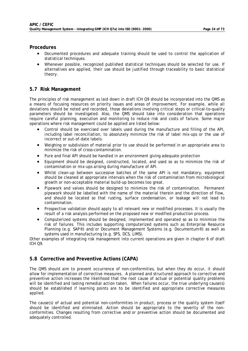#### **Procedures**

- Documented procedures and adequate training should be used to control the application of statistical techniques.
- Whenever possible, recognized published statistical techniques should be selected for use. If alternatives are applied, their use should be justified through traceability to basic statistical theory.

#### **5.7 Risk Management**

The principles of risk management as laid down in draft ICH Q9 should be incorporated into the QMS as a means of focusing resources on priority issues and areas of improvement. For example, while all deviations should be noted and recorded, those deviations involving critical steps or critical-to-quality parameters should be investigated. Also, the QMS should take into consideration that operations require careful planning, execution and monitoring to reduce risk and costs of failure. Some major operations where risk management could be applied are listed below:

- Control should be exercised over labels used during the manufacture and filling of the API, including label reconciliation, to absolutely minimize the risk of label mix-ups or the use of incorrect or out-of-date labels.
- Weighing or subdivision of material prior to use should be performed in an appropriate area to minimize the risk of cross-contamination.
- Pure and final API should be handled in an environment giving adequate protection
- Equipment should be designed, constructed, located, and used so as to minimize the risk of contamination or mix-ups arising during manufacture of API.
- Whilst clean-up between successive batches of the same API is not mandatory, equipment should be cleaned at appropriate intervals when the risk of contamination from microbiological growth or non-acceptable material build-up becomes too great.
- Pipework and valves should be designed to minimize the risk of contamination. Permanent pipework should be labelled with the name of the material therein and the direction of flow, and should be located so that rusting, surface condensation, or leakage will not lead to contamination.
- Prospective validation should apply to all relevant new or modified processes. It is usually the result of a risk analysis performed on the proposed new or modified production process.
- Computerized systems should be designed, implemented and operated so as to minimize the risk of failures. This includes supporting computerized systems such as Enterprise Resource Planning (e.g. SAP®) and/or Document Management Systems (e.g. Documentum®) as well as systems used in manufacturing (e.g. SPS, DCS, LIMS).

Other examples of integrating risk management into current operations are given in chapter 6 of draft ICH Q9.

#### **5.8 Corrective and Preventive Actions (CAPA)**

The QMS should aim to prevent occurrence of non-conformities, but when they do occur, it should allow for implementation of corrective measures. A planned and structured approach to corrective and preventive action increases the likelihood that the root cause of actual or potential quality problems will be identified and lasting remedial action taken. When failures occur, the true underlying cause(s) should be established if learning points are to be identified and appropriate corrective measures applied.

The cause(s) of actual and potential non-conformities in product, process or the quality system itself should be identified and eliminated. Action should be appropriate to the severity of the nonconformities. Changes resulting from corrective and/or preventive action should be documented and adequately controlled.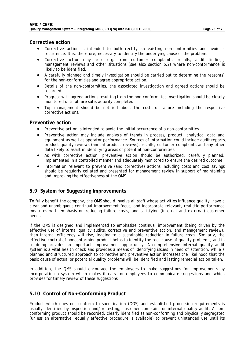#### **Corrective action**

- Corrective action is intended to both rectify an existing non-conformities and avoid a recurrence. It is, therefore, necessary to identify the underlying cause of the problem.
- Corrective action may arise e.g. from customer complaints, recalls, audit findings, management reviews and other situations (see also section 5.2) where non-conformance is likely to be identified.
- A carefully planned and timely investigation should be carried out to determine the reason(s) for the non-conformities and agree appropriate action.
- Details of the non-conformities, the associated investigation and agreed actions should be recorded.
- Progress with agreed actions resulting from the non-conformities investigation should be closely monitored until all are satisfactorily completed.
- Top management should be notified about the costs of failure including the respective corrective actions.

#### **Preventive action**

- Preventive action is intended to avoid the initial occurrence of a non-conformities.
- Preventive action may include analysis of trends in process, product, analytical data and equipment as well as operator performance. Sources of information could include audit reports, product quality reviews (annual product reviews), recalls, customer complaints and any other data likely to assist in identifying areas of potential non-conformities.
- As with corrective action, preventive action should be authorized, carefully planned, implemented in a controlled manner and adequately monitored to ensure the desired outcome.
- Information relevant to preventive (and corrective) actions including costs and cost savings should be regularly collated and presented for management review in support of maintaining and improving the effectiveness of the QMS.

#### **5.9 System for Suggesting Improvements**

To fully benefit the company, the QMS should involve all staff whose activities influence quality, have a clear and unambiguous continual improvement focus, and incorporate relevant, realistic performance measures with emphasis on reducing failure costs, and satisfying (internal and external) customer needs.

If the QMS is designed and implemented to emphasize continual improvement (being driven by the effective use of internal quality audits, corrective and preventive action, and management review), then internal efficiency will rise, leading to a sustainable reduction in failure costs. Similarly, the effective control of nonconforming product helps to identify the root cause of quality problems, and in so doing provides an important improvement opportunity. A comprehensive internal quality audit system is a vital health check and provides a means of identifying issues in need of attention, while a planned and structured approach to corrective and preventive action increases the likelihood that the basic cause of actual or potential quality problems will be identified and lasting remedial action taken.

In addition, the QMS should encourage the employees to make suggestions for improvements by incorporating a system which makes it easy for employees to communicate suggestions and which provides for timely review of these suggestions.

#### **5.10 Control of Non-Conforming Product**

Product which does not conform to specification (OOS) and established processing requirements is usually identified by inspection and/or testing, customer complaint or internal quality audit. A nonconforming product should be recorded, clearly identified as non-conforming and physically segregated (unless an alternative, equally effective procedure is available) to prevent unintended use until its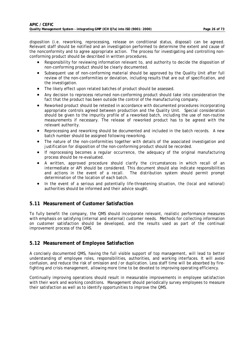disposition (i.e. reworking, reprocessing, release on conditional status, disposal) can be agreed. Relevant staff should be notified and an investigation performed to determine the extent and cause of the nonconformity and to agree appropriate action. The process for investigating and controlling nonconforming product should be described in written procedures.

- Responsibility for reviewing information relevant to, and authority to decide the disposition of non-conforming product should be clearly documented.
- Subsequent use of non-conforming material should be approved by the Quality Unit after full review of the non-conformities or deviation, including results that are out of specification, and the investigation.
- The likely effect upon related batches of product should be assessed.
- Any decision to reprocess returned non-conforming product should take into consideration the fact that the product has been outside the control of the manufacturing company.
- Reworked product should be retested in accordance with documented procedures incorporating appropriate controls agreed between production and the Quality Unit. Special consideration should be given to the impurity profile of a reworked batch, including the use of non-routine measurements if necessary. The release of reworked product has to be agreed with the relevant authority.
- Reprocessing and reworking should be documented and included in the batch records. A new batch number should be assigned following reworking.
- The nature of the non-conformities together with details of the associated investigation and justification for disposition of the non-conforming product should be recorded.
- If reprocessing becomes a regular occurrence, the adequacy of the original manufacturing process should be re-evaluated.
- A written, approved procedure should clarify the circumstances in which recall of an intermediate or API should be considered. This document should also indicate responsibilities and actions in the event of a recall. The distribution system should permit prompt determination of the location of each batch.
- In the event of a serious and potentially life-threatening situation, the (local and national) authorities should be informed and their advice sought.

#### **5.11 Measurement of Customer Satisfaction**

To fully benefit the company, the QMS should incorporate relevant, realistic performance measures with emphasis on satisfying (internal and external) customer needs. Methods for collecting information on customer satisfaction should be developed, and the results used as part of the continual improvement process of the QMS.

#### **5.12 Measurement of Employee Satisfaction**

A concisely documented QMS, having the full visible support of top management, will lead to better understanding of employee roles, responsibilities, authorities, and working interfaces. It will avoid confusion, and reduce the risk of omission and /or duplication. Less staff time will be absorbed by firefighting and crisis management, allowing more time to be devoted to improving operating efficiency.

Continually improving operations should result in measurable improvements in employee satisfaction with their work and working conditions. Management should periodically survey employees to measure their satisfaction as well as to identify opportunities to improve the QMS.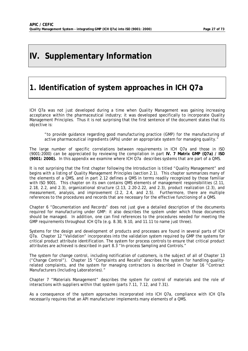### **IV. Supplementary Information**

### **1. Identification of system approaches in ICH Q7a**

ICH Q7a was not just developed during a time when Quality Management was gaining increasing acceptance within the pharmaceutical industry; it was developed specifically to incorporate Quality Management Principles. Thus it is not surprising that the first sentence of the document states that its objective is:

"to provide guidance regarding good manufacturing practice (GMP) for the manufacturing of active pharmaceutical ingredients (APIs) under an appropriate system for managing quality."

The large number of specific correlations between requirements in ICH Q7a and those in ISO (9001:2000) can be appreciated by reviewing the compilation in part **IV. 7 Matrix GMP (Q7a) / ISO (9001: 2000).** In this appendix we examine where ICH Q7a describes systems that are part of a QMS.

It is not surprising that the first chapter following the Introduction is titled "Quality Management" and begins with a listing of Quality Management Principles (section 2.1). This chapter summarizes many of the elements of a QMS, and in part 2.12 defines a QMS in terms readily recognized by those familiar with ISO 9001. This chapter on its own contains QMS elements of management responsibilities (2.11, 2.18, 2.2, and 2.3), organizational structure (2.13, 2.20-2.22, and 2.3), product realization (2.3), and measurement, analysis, and improvement (2.2, 2.4, and 2.5). Furthermore, there are multiple references to the procedures and records that are necessary for the effective functioning of a QMS.

Chapter 6 "Documentation and Records" does not just give a detailed description of the documents required for manufacturing under GMP: it also describes the system under which those documents should be managed. In addition, one can find references to the procedures needed for meeting the GMP requirements throughout ICH Q7a (e.g. 8.30, 9.10, and 11.11 to name just three).

Systems for the design and development of products and processes are found in several parts of ICH Q7a. Chapter 12 "Validation" incorporates into the validation system required by GMP the systems for critical product attribute identification. The system for process controls to ensure that critical product attributes are achieved is described in part 8.3 "In-process Sampling and Controls."

The system for change control, including notification of customers, is the subject of all of Chapter 13 ("Change Control"). Chapter 15 "Complaints and Recalls" describes the system for handling qualityrelated complaints, and the system for managing contractors is described in Chapter 16 "Contract Manufacturers (Including Laboratories)."

Chapter 7 "Materials Management" describes the system for control of materials and the role of interactions with suppliers within that system (parts 7.11, 7.12, and 7.31).

As a consequence of the system approaches incorporated into ICH Q7a, compliance with ICH Q7a necessarily requires that an API manufacturer implements many elements of a QMS.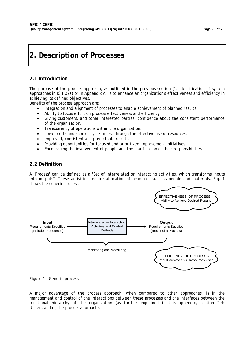### **2. Description of Processes**

#### **2.1 Introduction**

The purpose of the process approach, as outlined in the previous section (1. Identification of system approaches in ICH Q7a) or in Appendix A, is to enhance an organization's effectiveness and efficiency in achieving its defined objectives.

Benefits of the process approach are:

- Integration and alignment of processes to enable achievement of planned results.
- Ability to focus effort on process effectiveness and efficiency.
- Giving customers, and other interested parties, confidence about the consistent performance of the organization.
- Transparency of operations within the organization.
- Lower costs and shorter cycle times, through the effective use of resources.
- Improved, consistent and predictable results.
- Providing opportunities for focused and prioritized improvement initiatives.
- Encouraging the involvement of people and the clarification of their responsibilities.

#### **2.2 Definition**

A "Process" can be defined as a "Set of interrelated or interacting activities, which transforms inputs into outputs". These activities require allocation of resources such as people and materials. Fig. 1 shows the generic process.



*Figure 1* - Generic process

A major advantage of the process approach, when compared to other approaches, is in the management and control of the interactions between these processes and the interfaces between the functional hierarchy of the organization (as further explained in this appendix, section 2.4: Understanding the process approach).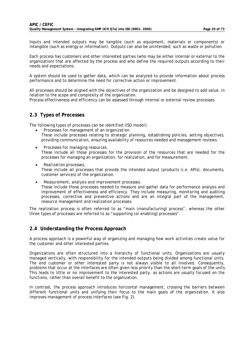Inputs and intended outputs may be tangible (such as equipment, materials or components) or intangible (such as energy or information). Outputs can also be unintended; such as waste or pollution.

Each process has customers and other interested parties (who may be either internal or external to the organization) that are affected by the process and who define the required outputs according to their needs and expectations.

A system should be used to gather data, which can be analyzed to provide information about process performance and to determine the need for corrective action or improvement.

All processes should be aligned with the objectives of the organization and be designed to add value, in relation to the scope and complexity of the organization.

Process effectiveness and efficiency can be assessed through internal or external review processes.

#### **2.3 Types of Processes**

The following types of processes can be identified (ISO model):

- *Processes for management of an organization.*  These include processes relating to strategic planning, establishing policies, setting objectives, providing communication, ensuring availability of resources needed and management reviews.
- *Processes for managing resources.*  These include all those processes for the provision of the resources that are needed for the processes for managing an organization, for realization, and for measurement.
- *Realization processes.*  These include all processes that provide the intended output (products (i.e. APIs), documents, customer services) of the organization.
- *Measurement, analysis and improvement processes.*  These include those processes needed to measure and gather data for performance analysis and improvement of effectiveness and efficiency. They include measuring, monitoring and auditing processes, corrective and preventive actions and are an integral part of the management, resource management and realization processes.

The realization process is often referred to as "main (manufacturing) process", whereas the other three types of processes are referred to as "supporting (or enabling) processes".

#### **2.4 Understanding the Process Approach**

A process approach is a powerful way of organizing and managing how work activities create value for the customer and other interested parties.

Organizations are often structured into a hierarchy of functional units. Organizations are usually managed vertically, with responsibility for the intended outputs being divided among functional units. The end customer or other interested party is not always visible to all involved. Consequently, problems that occur at the interfaces are often given less priority than the short-term goals of the units. This leads to little or no improvement to the interested party, as actions are usually focused on the functions, rather than overall benefit to the organization.

In contrast, the process approach introduces horizontal management, crossing the barriers between different functional units and unifying their focus to the main goals of the organization. It also improves management of process interfaces (see Fig. 2).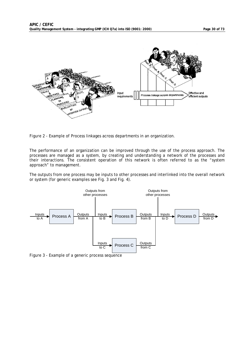

*Figure 2* - Example of Process linkages across departments in an organization.

The performance of an organization can be improved through the use of the process approach. The processes are managed as a system, by creating and understanding a network of the processes and their interactions. The consistent operation of this network is often referred to as the "system approach" to management.

The outputs from one process may be inputs to other processes and interlinked into the overall network or system (for generic examples see Fig. 3 and Fig. 4).



*Figure 3* - Example of a generic process sequence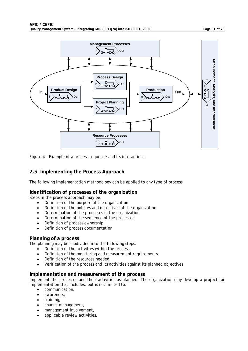

*Figure 4* - Example of a process sequence and its interactions

#### **2.5 Implementing the Process Approach**

The following implementation methodology can be applied to any type of process.

#### **Identification of processes of the organization**

Steps in the process approach may be:

- Definition of the purpose of the organization
- Definition of the policies and objectives of the organization
- Determination of the processes in the organization
- Determination of the sequence of the processes
- Definition of process ownership
- Definition of process documentation

#### **Planning of a process**

The planning may be subdivided into the following steps:

- Definition of the activities within the process
- Definition of the monitoring and measurement requirements
- Definition of the resources needed
- Verification of the process and its activities against its planned objectives

#### **Implementation and measurement of the process**

Implement the processes and their activities as planned. The organization may develop a project for implementation that includes, but is not limited to:

- communication,
- awareness,
- training,
- change management,
- management involvement,
- applicable review activities.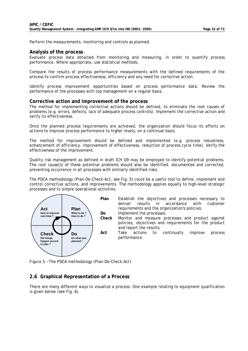Perform the measurements, monitoring and controls as planned.

#### **Analysis of the process**

Evaluate process data obtained from monitoring and measuring, in order to quantify process performance. Where appropriate, use statistical methods.

Compare the results of process performance measurements with the defined requirements of the process to confirm process effectiveness, efficiency and any need for corrective action.

Identify process improvement opportunities based on process performance data. Review the performance of the processes with top management on a regular basis.

#### **Corrective action and improvement of the process**

The method for implementing corrective actions should be defined, to eliminate the root causes of problems (e.g. errors, defects, lack of adequate process controls). Implement the corrective action and verify its effectiveness.

Once the planned process requirements are achieved, the organization should focus its efforts on actions to improve process performance to higher levels, on a continual basis.

The method for improvement should be defined and implemented (e.g. process robustness, enhancement of efficiency, improvement of effectiveness, reduction of process cycle time). Verify the effectiveness of the improvement.

Quality risk management as defined in draft ICH Q9 may be employed to identify potential problems. The root cause(s) of these potential problems should also be identified, documented and corrected, preventing occurrence in all processes with similarly identified risks.

The PDCA methodology (Plan-Do-Check-Act, see Fig. 5) could be a useful tool to define, implement and control corrective actions, and improvements. The methodology applies equally to high-level strategic processes and to simple operational activities.



*Figure 5* – The PDCA methodology (Plan-Do-Check-Act)

#### **2.6 Graphical Representation of a Process**

There are many different ways to visualize a process. One example relating to equipment qualification is given below (see Fig. 6).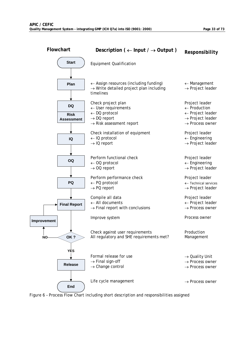

*Figure 6* – Process Flow Chart including short description and responsibilities assigned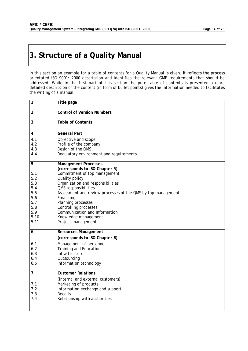### **3. Structure of a Quality Manual**

In this section an example for a table of contents for a Quality Manual is given. It reflects the process orientated ISO 9001: 2000 description and identifies the relevant GMP requirements that should be addressed. While in the first part of this section the pure table of contents is presented a more detailed description of the content (in form of bullet points) gives the information needed to facilitates the writing of a manual.

| 1                                                                           | Title page                                                                                                                                                                                                                                                                                                                                               |
|-----------------------------------------------------------------------------|----------------------------------------------------------------------------------------------------------------------------------------------------------------------------------------------------------------------------------------------------------------------------------------------------------------------------------------------------------|
| $\overline{2}$                                                              | <b>Control of Version Numbers</b>                                                                                                                                                                                                                                                                                                                        |
| $\overline{3}$                                                              | Table of Contents                                                                                                                                                                                                                                                                                                                                        |
| 4                                                                           | <b>General Part</b>                                                                                                                                                                                                                                                                                                                                      |
| 4.1<br>4.2<br>4.3<br>4.4                                                    | Objective and scope<br>Profile of the company<br>Design of the QMS<br>Regulatory environment and requirements                                                                                                                                                                                                                                            |
| 5                                                                           | <b>Management Processes</b>                                                                                                                                                                                                                                                                                                                              |
| 5.1<br>5.2<br>5.3<br>5.4<br>5.5<br>5.6<br>5.7<br>5.8<br>5.9<br>5.10<br>5.11 | (corresponds to ISO Chapter 5)<br>Commitment of top management<br>Quality policy<br>Organization and responsibilities<br>QMS responsibilities<br>Assessment and review processes of the QMS by top management<br>Financing<br>Planning processes<br>Controlling processes<br>Communication and Information<br>Knowledge management<br>Project management |
| 6                                                                           | <b>Resources Management</b><br>(corresponds to ISO Chapter 6)                                                                                                                                                                                                                                                                                            |
| 6.1<br>6.2<br>6.3<br>6.4<br>6.5                                             | Management of personnel<br><b>Training and Education</b><br>Infrastructure<br>Outsourcing<br>Information technology                                                                                                                                                                                                                                      |
| $\overline{7}$                                                              | <b>Customer Relations</b>                                                                                                                                                                                                                                                                                                                                |
| 7.1<br>7.2<br>7.3<br>7.4                                                    | (internal and external customers)<br>Marketing of products<br>Information exchange and support<br>Recalls<br>Relationship with authorities                                                                                                                                                                                                               |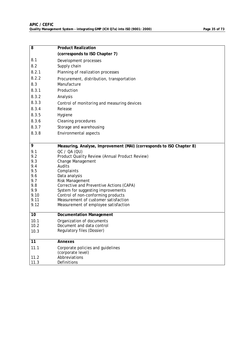| $\overline{8}$ | <b>Product Realization</b>                                           |  |  |  |  |
|----------------|----------------------------------------------------------------------|--|--|--|--|
|                | (corresponds to ISO Chapter 7)                                       |  |  |  |  |
| 8.1            | Development processes                                                |  |  |  |  |
| 8.2            | Supply chain                                                         |  |  |  |  |
| 8.2.1          | Planning of realization processes                                    |  |  |  |  |
| 8.2.2          | Procurement, distribution, transportation                            |  |  |  |  |
| 8.3            | Manufacture                                                          |  |  |  |  |
| 8.3.1          | Production                                                           |  |  |  |  |
| 8.3.2          | Analysis                                                             |  |  |  |  |
| 8.3.3          | Control of monitoring and measuring devices                          |  |  |  |  |
| 8.3.4          | Release                                                              |  |  |  |  |
| 8.3.5          | Hygiene                                                              |  |  |  |  |
| 8.3.6          | Cleaning procedures                                                  |  |  |  |  |
| 8.3.7          | Storage and warehousing                                              |  |  |  |  |
| 8.3.8          | Environmental aspects                                                |  |  |  |  |
|                |                                                                      |  |  |  |  |
| 9              | Measuring, Analyse, Improvement (MAI) (corresponds to ISO Chapter 8) |  |  |  |  |
| 9.1            | QC / OA (QU)                                                         |  |  |  |  |
| 9.2            | Product Quality Review (Annual Product Review)                       |  |  |  |  |
| 9.3            | Change Management                                                    |  |  |  |  |
| 9.4            | Audits                                                               |  |  |  |  |
| 9.5            | Complaints                                                           |  |  |  |  |
| 9.6            | Data analysis                                                        |  |  |  |  |
| 9.7            | Risk Management                                                      |  |  |  |  |
| 9.8            | Corrective and Preventive Actions (CAPA)                             |  |  |  |  |
| 9.9            | System for suggesting improvements                                   |  |  |  |  |
| 9.10           | Control of non-conforming products                                   |  |  |  |  |
| 9.11           | Measurement of customer satisfaction                                 |  |  |  |  |
| 9.12           | Measurement of employee satisfaction                                 |  |  |  |  |
| 10             | <b>Documentation Management</b>                                      |  |  |  |  |
| 10.1           | Organization of documents                                            |  |  |  |  |
| 10.2           | Document and data control                                            |  |  |  |  |
| 10.3           | Regulatory files (Dossier)                                           |  |  |  |  |
| 11             | Annexes                                                              |  |  |  |  |
|                |                                                                      |  |  |  |  |
| 11.1           | Corporate policies and guidelines<br>(corporate level)               |  |  |  |  |
| 11.2           | Abbreviations                                                        |  |  |  |  |
| 11.3           | Definitions                                                          |  |  |  |  |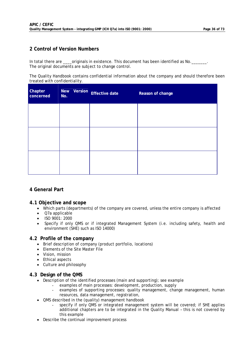#### **2 Control of Version Numbers**

In total there are \_\_\_\_originals in existence. This document has been identified as No. The original documents are subject to change control.

The Quality Handbook contains confidential information about the company and should therefore been treated with confidentiality.

| Chapter<br>concerned | No. | New Version Effective date | Reason of change |
|----------------------|-----|----------------------------|------------------|
|                      |     |                            |                  |
|                      |     |                            |                  |
|                      |     |                            |                  |
|                      |     |                            |                  |

#### **4 General Part**

#### **4.1 Objective and scope**

- Which parts (departments) of the company are covered, unless the entire company is affected
- Q7a applicable
- ISO 9001: 2000
- Specify if only QMS or if integrated Management System (i.e. including safety, health and environment (SHE) such as ISO 14000)

#### **4.2 Profile of the company**

- Brief description of company (product portfolio, locations)
- Elements of the Site Master File
- Vision, mission
- Ethical aspects
- Culture and philosophy

#### **4.3 Design of the QMS**

- Description of the identified processes (main and supporting); see example
	- examples of main processes: development, production, supply
	- examples of supporting processes: quality management, change management, human resources, data management, registration,
- QMS described in the (quality) management handbook
	- specify if only QMS or integrated management system will be covered; if SHE applies additional chapters are to be integrated in the Quality Manual – this is not covered by this example
- Describe the continual improvement process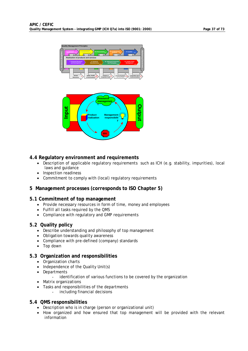



### **4.4 Regulatory environment and requirements**

- Description of applicable regulatory requirements such as ICH (e.g. stability, impurities), local laws and guidance
- Inspection readiness
- Commitment to comply with (local) regulatory requirements

### **5 Management processes (corresponds to ISO Chapter 5)**

### **5.1 Commitment of top management**

- Provide necessary resources in form of time, money and employees
- Fulfill all tasks required by the QMS
- Compliance with regulatory and GMP requirements

### **5.2 Quality policy**

- Describe understanding and philosophy of top management
- Obligation towards quality awareness
- Compliance with pre-defined (company) standards
- Top down

### **5.3 Organization and responsibilities**

- Organization charts
- Independence of the Quality Unit(s)
- Departments
	- identification of various functions to be covered by the organization
- Matrix organizations
- Tasks and responsibilities of the departments
	- including financial decisions

### **5.4 QMS responsibilities**

- Description who is in charge (person or organizational unit)
- How organized and how ensured that top management will be provided with the relevant information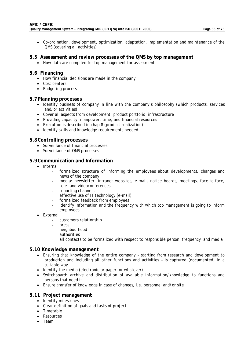• Co-ordination, development, optimization, adaptation, implementation and maintenance of the QMS (covering all activities)

### **5.5 Assessment and review processes of the QMS by top management**

• How data are compiled for top management for assessment

### **5.6 Financing**

- How financial decisions are made in the company
- Cost centers
- Budgeting process

### **5.7 Planning processes**

- Identify business of company in line with the company's philosophy (which products, services and/or activities)
- Cover all aspects from development, product portfolio, infrastructure
- Providing capacity, manpower, time, and financial resources
- Execution is described in chap 8 (product realization)
- Identify skills and knowledge requirements needed

### **5.8 Controlling processes**

- Surveillance of financial processes
- Surveillance of QMS processes

### **5.9 Communication and Information**

- Internal
	- formalized structure of informing the employees about developments, changes and news of the company
	- media: newsletter, intranet websites, e-mail, notice boards, meetings, face-to-face, tele- and videoconferences
	- reporting channels
	- effective use of IT technology (e-mail)
	- formalized feedback from employees
	- identify information and the frequency with which top management is going to inform employees
- External
	- customers relationship
	- press
	- neighbourhood
	- authorities
	- all contacts to be formalized with respect to responsible person, frequency and media

### **5.10 Knowledge management**

- Ensuring that knowledge of the entire company starting from research and development to production and including all other functions and activities – is captured (documented) in a suitable way
- Identify the media (electronic or paper or whatever)
- Switchboard: archive and distribution of available information/knowledge to functions and persons that need it
- Ensure transfer of knowledge in case of changes, i.e. personnel and/or site

### **5.11 Project management**

- Identify milestones
- Clear definition of goals and tasks of project
- Timetable
- Resources
- Team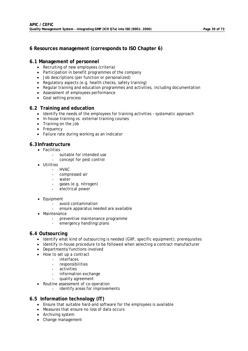### **6 Resources management (corresponds to ISO Chapter 6)**

### **6.1 Management of personnel**

- Recruiting of new employees (criteria)
- Participation in benefit programmes of the company
- Job descriptions (per function or personalized)
- Regulatory aspects (e.g. health checks, safety training)
- Regular training and education programmes and activities, including documentation
- Assessment of employees performance
- Goal setting process

### **6.2 Training and education**

- Identify the needs of the employees for training activities systematic approach
- In-house training vs. external training courses
- Training on the job
- Frequency
- Failure rate during working as an indicator

### **6.3 Infrastructure**

- Facilities
	- suitable for intended use
	- concept for pest control
- Utilities
	- HVAC
	- compressed air
	- water
	- gases (e.g. nitrogen)
	- electrical power
- Equipment
	- avoid contamination
	- ensure apparatus needed are available
- Maintenance
	- preventive maintenance programme
	- emergency handling/plans

### **6.4 Outsourcing**

- Identify what kind of outsourcing is needed (GXP, specific equipment); prerequisites
- Identify in-house procedure to be followed when selecting a contract manufacturer
- Departments/functions involved
- How to set up a contract
	- interfaces
	- responsibilities
	- activities
	- information exchange
	- quality agreement
- Routine assessment of co-operation
	- identify areas for improvements

### **6.5 Information technology (IT)**

- Ensure that suitable hard-and software for the employees is available
- Measures that ensure no loss of data occurs
- Archiving system
- Change management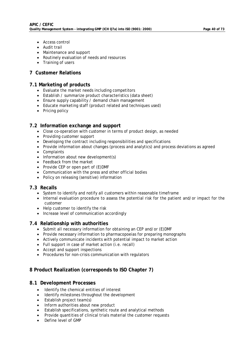- Access control
- Audit trail
- Maintenance and support
- Routinely evaluation of needs and resources
- Training of users

### **7 Customer Relations**

### **7.1 Marketing of products**

- Evaluate the market needs including competitors
- Establish / summarize product characteristics (data sheet)
- Ensure supply capability / demand chain management
- Educate marketing staff (product related and techniques used)
- Pricing policy

### **7.2 Information exchange and support**

- Close co-operation with customer in terms of product design, as needed
- Providing customer support
- Developing the contract including responsibilities and specifications
- Provide information about changes (process and analytics) and process deviations as agreed
- Complaints
- Information about new development(s)
- Feedback from the market
- Provide CEP or open part of (E) DMF
- Communication with the press and other official bodies
- Policy on releasing (sensitive) information

### **7.3 Recalls**

- System to identify and notify all customers within reasonable timeframe
- Internal evaluation procedure to assess the potential risk for the patient and/or impact for the customer
- Help customer to identify the risk
- Increase level of communication accordingly

### **7.4 Relationship with authorities**

- Submit all necessary information for obtaining an CEP and/or (E)DMF
- Provide necessary information to pharmacopoeias for preparing monographs
- Actively communicate incidents with potential impact to market action
- Full support in case of market action (i.e. recall)
- Accept and support inspections
- Procedures for non-crisis communication with regulators

### **8 Product Realization (corresponds to ISO Chapter 7)**

### **8.1 Development Processes**

- Identify the chemical entities of interest
- Identify milestones throughout the development
- Establish project team(s)
- Inform authorities about new product
- Establish specifications, synthetic route and analytical methods
- Provide quantities of clinical trials material the customer requests
- Define level of GMP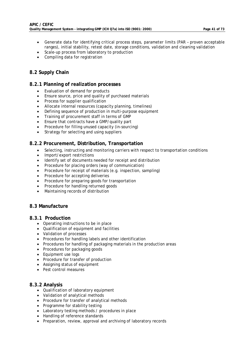- Generate data for identifying critical process steps, parameter limits (PAR proven acceptable ranges), initial stability, retest date, storage conditions, validation and cleaning validation
- Scale-up process from laboratory to production
- Compiling data for registration

### **8.2 Supply Chain**

### **8.2.1 Planning of realization processes**

- Evaluation of demand for products
- Ensure source, price and quality of purchased materials
- Process for supplier qualification
- Allocate internal resources (capacity planning, timelines)
- Defining sequence of production in multi-purpose equipment
- Training of procurement staff in terms of GMP
- Ensure that contracts have a GMP/quality part
- Procedure for filling unused capacity (in-sourcing)
- Strategy for selecting and using suppliers

### **8.2.2 Procurement, Distribution, Transportation**

- Selecting, instructing and monitoring carriers with respect to transportation conditions
- Import/export restrictions
- Identify set of documents needed for receipt and distribution
- Procedure for placing orders (way of communication)
- Procedure for receipt of materials (e.g. inspection, sampling)
- Procedure for accepting deliveries
- Procedure for preparing goods for transportation
- Procedure for handling returned goods
- Maintaining records of distribution

### **8.3 Manufacture**

### **8.3.1 Production**

- Operating instructions to be in place
- Qualification of equipment and facilities
- Validation of processes
- Procedures for handling labels and other identification
- Procedures for handling of packaging materials in the production areas
- Procedures for packaging goods
- Equipment use logs
- Procedure for transfer of production
- Assigning status of equipment
- Pest control measures

### **8.3.2 Analysis**

- Qualification of laboratory equipment
- Validation of analytical methods
- Procedure for transfer of analytical methods
- Programme for stability testing
- Laboratory testing methods / procedures in place
- Handling of reference standards
- Preparation, review, approval and archiving of laboratory records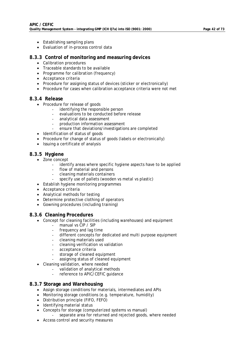- Establishing sampling plans
- Evaluation of in-process control data

### **8.3.3 Control of monitoring and measuring devices**

- Calibration procedures
- Traceable standards to be available
- Programme for calibration (frequency)
- Acceptance criteria
- Procedure for assigning status of devices (sticker or electronically)
- Procedure for cases when calibration acceptance criteria were not met

### **8.3.4 Release**

- Procedure for release of goods
	- identifying the responsible person
	- evaluations to be conducted before release
	- analytical data assessment
	- production information assessment
	- ensure that deviations/investigations are completed
- Identification of status of goods
- Procedure for change of status of goods (labels or electronically)
- Issuing a certificate of analysis

### **8.3.5 Hygiene**

- Zone concept
	- identify areas where specific hygiene aspects have to be applied
	- flow of material and persons
	- cleaning materials containers
		- specify use of pallets (wooden vs metal vs plastic)
- Establish hygiene monitoring programmes
- Acceptance criteria
- Analytical methods for testing
- Determine protective clothing of operators
- Gowning procedures (including training)

### **8.3.6 Cleaning Procedures**

- Concept for cleaning facilities (including warehouses) and equipment
	- manual vs CIP / SIP
	- frequency and lag time
	- different concepts for dedicated and multi purpose equipment
	- cleaning materials used
	- cleaning verification vs validation
	- acceptance criteria
	- storage of cleaned equipment
	- assigning status of cleaned equipment
- Cleaning validation, where needed
	- validation of analytical methods
	- reference to APIC/CEFIC guidance

### **8.3.7 Storage and Warehousing**

- Assign storage conditions for materials, intermediates and APIs
- Monitoring storage conditions (e.g. temperature, humidity)
- Distribution principle (FIFO, FEFO)
- Identifying material status
- Concepts for storage (computerized systems vs manual)
	- separate area for returned and rejected goods, where needed
- Access control and security measures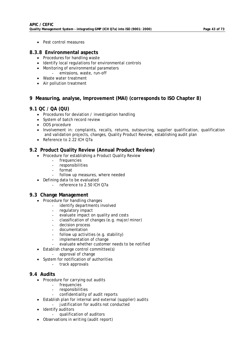• Pest control measures

### **8.3.8 Environmental aspects**

- Procedures for handling waste
- Identify local regulations for environmental controls
- Monitoring of environmental parameters
- emissions, waste, run-off
- Waste water treatment
- Air pollution treatment

### **9 Measuring, analyse, Improvement (MAI) (corresponds to ISO Chapter 8)**

### **9.1 QC / QA (QU)**

- Procedures for deviation / investigation handling
- System of batch record review
- OOS procedure
- Involvement in: complaints, recalls, returns, outsourcing, supplier qualification, qualification and validation projects, changes, Quality Product Review, establishing audit plan
- Reference to 2.22 ICH O7a

### **9.2 Product Quality Review (Annual Product Review)**

- Procedure for establishing a Product Quality Review
	- frequencies
	- responsibilities
	- format
	- follow up measures, where needed
- Defining data to be evaluated
	- reference to 2.50 ICH Q7a

### **9.3 Change Management**

- Procedure for handling changes
	- identify departments involved
	- regulatory impact
	- evaluate impact on quality and costs
	- classification of changes (e.g. major/minor)
	- decision process
	- documentation
	- follow up activities (e.g. stability)
	- implementation of change
	- evaluate whether customer needs to be notified
- Establish change control committee(s)
	- approval of change
- System for notification of authorities
	- track approvals

### **9.4 Audits**

- Procedure for carrying out audits
	- frequencies
	- responsibilities
	- confidentiality of audit reports
- Establish plan for internal and external (supplier) audits
	- justification for audits not conducted
- Identify auditors
	- qualification of auditors
- Observations in writing (audit report)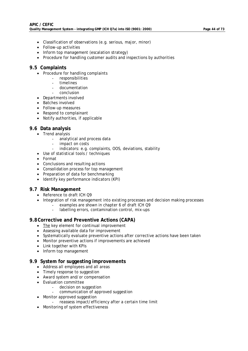- Classification of observations (e.g. serious, major, minor)
- Follow-up activities
- Inform top management (escalation strategy)
- Procedure for handling customer audits and inspections by authorities

### **9.5 Complaints**

- Procedure for handling complaints
	- responsibilities
		- timelines
	- documentation
		- conclusion
- Departments involved
- Batches involved
- Follow-up measures
- Respond to complainant
- Notify authorities, if applicable

### **9.6 Data analysis**

- Trend analysis
	- analytical and process data
	- impact on costs
	- indicators: e.g. complaints, OOS, deviations, stability
- Use of statistical tools / techniques
- Format
- Conclusions and resulting actions
- Consolidation process for top management
- Preparation of data for benchmarking
- Identify key performance indicators (KPI)

### **9.7 Risk Management**

- Reference to draft ICH Q9
- Integration of risk management into existing processes and decision making processes
	- examples are shown in chapter 6 of draft ICH Q9
	- labelling errors, contamination control, mix-ups

### **9.8 Corrective and Preventive Actions (CAPA)**

- The key element for continual improvement
- Assessing available data for improvement
- Systematically evaluate preventive actions after corrective actions have been taken
- Monitor preventive actions if improvements are achieved
- Link together with KPIs
- Inform top management

### **9.9 System for suggesting improvements**

- Address all employees and all areas
- Timely response to suggestion
- Award system and/or compensation
- Evaluation committee
	- decision on suggestion
	- communication of approved suggestion
- Monitor approved suggestion
	- reassess impact/efficiency after a certain time limit
- Monitoring of system effectiveness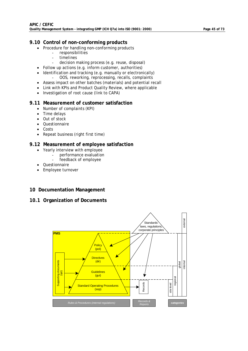### **9.10 Control of non-conforming products**

- Procedure for handling non-conforming products
	- responsibilities
		- timelines
	- decision making process (e.g. reuse, disposal)
- Follow up actions (e.g. inform customer, authorities)
- Identification and tracking (e.g. manually or electronically) - OOS, reworking, reprocessing, recalls, complaints
- Assess impact on other batches (materials) and potential recall
- Link with KPIs and Product Quality Review, where applicable
- Investigation of root cause (link to CAPA)

### **9.11 Measurement of customer satisfaction**

- Number of complaints (KPI)
- Time delays
- Out of stock
- Questionnaire
- Costs
- Repeat business (right first time)

### **9.12 Measurement of employee satisfaction**

- Yearly interview with employee
	- performance evaluation
	- feedback of employee
- Questionnaire
- Employee turnover

### **10 Documentation Management**

### **10.1 Organization of Documents**

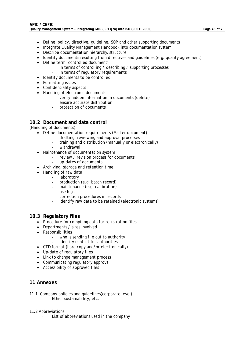- Define policy, directive, guideline, SOP and other supporting documents
- Integrate Quality Management Handbook into documentation system
- Describe documentation hierarchy/structure
- Identify documents resulting from directives and quidelines (e.g. quality agreement)
- Define term 'controlled document'
	- in terms of controlling / describing / supporting processes
	- in terms of regulatory requirements
- Identify documents to be controlled
- Formatting issues
- Confidentiality aspects
- Handling of electronic documents
	- verify hidden information in documents (delete)
	- ensure accurate distribution
	- protection of documents

### **10.2 Document and data control**

#### (Handling of documents)

- Define documentation requirements (Master document)
	- drafting, reviewing and approval processes
	- training and distribution (manually or electronically)
	- withdrawal
- Maintenance of documentation system
	- review / revision process for documents
	- up-dates of documents
- Archiving, storage and retention time
- Handling of raw data
	- **laboratory**
	- production (e.g. batch record)
	- maintenance (e.g. calibration)
	- use logs
	- correction procedures in records
	- identify raw data to be retained (electronic systems)

### **10.3 Regulatory files**

- Procedure for compiling data for registration files
- Departments / sites involved
- Responsibilities
	- who is sending file out to authority
	- identify contact for authorities
- CTD format (hard copy and/or electronically)
- Up-date of regulatory files
- Link to change management process
- Communicating regulatory approval
- Accessibility of approved files

### **11 Annexes**

11.1 Company policies and guidelines(corporate level) Ethic, sustainability, etc.

### 11.2 Abbreviations

List of abbreviations used in the company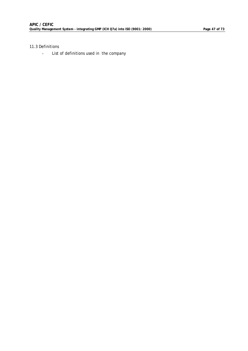### 11.3 Definitions

- List of definitions used in the company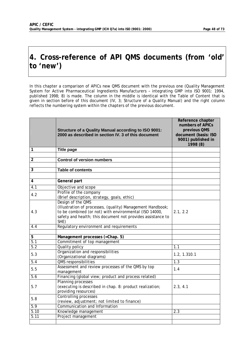## **4. Cross-reference of API QMS documents (from 'old' to 'new')**

In this chapter a comparison of APICs new QMS document with the previous one (Quality Management System for Active Pharmaceutical Ingredients Manufacturers – integrating GMP into ISO 9001: 1994, published 1998; 8) is made. The column in the middle is identical with the Table of Content that is given in section before of this document (IV, 3; Structure of a Quality Manual) and the right column reflects the numbering system within the chapters of the previous document.

|                  | <b>Structure of a Quality Manual according to ISO 9001:</b><br>2000 as described in section IV. 3 of this document                                                                                               | Reference chapter<br>numbers of APICs<br>previous QMS<br>document (basis: ISO<br>9001) published in<br>1998 (8) |
|------------------|------------------------------------------------------------------------------------------------------------------------------------------------------------------------------------------------------------------|-----------------------------------------------------------------------------------------------------------------|
| 1                | <b>Title page</b>                                                                                                                                                                                                |                                                                                                                 |
| $\overline{2}$   | <b>Control of version numbers</b>                                                                                                                                                                                |                                                                                                                 |
| $\overline{3}$   | <b>Table of contents</b>                                                                                                                                                                                         |                                                                                                                 |
|                  |                                                                                                                                                                                                                  |                                                                                                                 |
| 4                | General part                                                                                                                                                                                                     |                                                                                                                 |
| $\overline{4.1}$ | Objective and scope                                                                                                                                                                                              |                                                                                                                 |
| 4.2              | Profile of the company<br>(Brief description, strategy, goals, ethic)                                                                                                                                            |                                                                                                                 |
| 4.3              | Design of the QMS<br>(Illustration of processes, (quality) Management Handbook;<br>to be combined (or not) with environmental (ISO 14000,<br>safety and health; this document not provides assistance to<br>SHE) | 2.1, 2.2                                                                                                        |
| 4.4              | Regulatory environment and requirements                                                                                                                                                                          |                                                                                                                 |
|                  |                                                                                                                                                                                                                  |                                                                                                                 |
| $\overline{5}$   | Management processes (=Chap. 5)                                                                                                                                                                                  |                                                                                                                 |
| 5.1              | Commitment of top management                                                                                                                                                                                     |                                                                                                                 |
| $\overline{5.2}$ | Quality policy                                                                                                                                                                                                   | 1.1                                                                                                             |
| 5.3              | Organization and responsibilities<br>(Organizational diagrams)                                                                                                                                                   | 1.2, 1.310.1                                                                                                    |
| 5.4              | QMS responsibilities                                                                                                                                                                                             | 1.3                                                                                                             |
| 5.5              | Assessment and review processes of the QMS by top<br>management                                                                                                                                                  | 1.4                                                                                                             |
| $\overline{5.6}$ | Financing (global view; product and process related)                                                                                                                                                             |                                                                                                                 |
| 5.7              | Planning processes<br>(executing is described in chap. 8: product realization;<br>providing resources)                                                                                                           | 2.3, 4.1                                                                                                        |
| 5.8              | <b>Controlling processes</b><br>(review, adjustment; not limited to finance)                                                                                                                                     |                                                                                                                 |
| 5.9              | Communication and Information                                                                                                                                                                                    |                                                                                                                 |
| 5.10             | Knowledge management                                                                                                                                                                                             | 2.3                                                                                                             |
| 5.11             | Project management                                                                                                                                                                                               |                                                                                                                 |
|                  |                                                                                                                                                                                                                  |                                                                                                                 |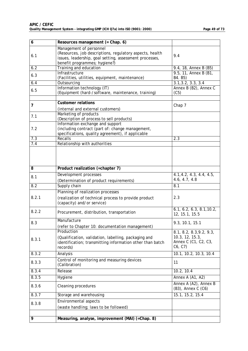| 6     | Resources management (= Chap. 6)                                                                                                                                                |                                                                               |
|-------|---------------------------------------------------------------------------------------------------------------------------------------------------------------------------------|-------------------------------------------------------------------------------|
| 6.1   | Management of personnel<br>(Resources, job descriptions, regulatory aspects, health<br>issues, leadership, goal setting, assessment processes,<br>benefit programmes; hygiene?) | 9.4                                                                           |
| 6.2   | Training and education                                                                                                                                                          | 9.4, 18, Annex B (B5)                                                         |
| 6.3   | Infrastructure<br>(Facilities, utilities, equipment, maintenance)                                                                                                               | 9.5, 11, Annex B (B1,<br>B4. B5)                                              |
| 6.4   | Outsourcing                                                                                                                                                                     | 3.1, 3.2, 3.3, 3.4                                                            |
| 6.5   | Information technology (IT)<br>(Equipment (hard-/software, maintenance, training)                                                                                               | Annex B (B2), Annex C<br>(C5)                                                 |
| 7     | <b>Customer relations</b><br>(internal and external customers)                                                                                                                  | Chap 7                                                                        |
| 7.1   | Marketing of products<br>(Description of process to sell products)                                                                                                              |                                                                               |
| 7.2   | Information exchange and support<br>(including contract (part of: change management,<br>specifications, quality agreement), if applicable                                       |                                                                               |
| 7.3   | Recalls                                                                                                                                                                         | 2.3                                                                           |
| 7.4   | Relationship with authorities                                                                                                                                                   |                                                                               |
| 8     | Product realization (=chapter 7)                                                                                                                                                |                                                                               |
| 8.1   | Development processes<br>(Determination of product requirements)                                                                                                                | 4.1, 4.2, 4.3, 4.4, 4.5,<br>4.6, 4.7, 4.8                                     |
| 8.2   | Supply chain                                                                                                                                                                    | 8.1                                                                           |
| 8.2.1 | Planning of realization processes<br>(realization of <i>technical</i> process to provide product<br>(capacity) and/or service)                                                  | 2.3                                                                           |
| 8.2.2 | Procurement, distribution, transportation                                                                                                                                       | 6.1, 6.2, 6.3, 8.1, 10.2,<br>12, 15.1, 15.5                                   |
| 8.3   | Manufacture<br>(refer to Chapter 10: documentation management)                                                                                                                  | 9.3, 10.1, 15.1                                                               |
| 8.3.1 | Production<br>(Qualification, validation, labelling, packaging and<br>identification; transmitting information other than batch<br>records)                                     | 8.1, 8.2, 8.3, 9.2, 9.3,<br>10.3, 12, 15.3,<br>Annex C (C1, C2, C3,<br>C6, C7 |
| 8.3.2 | Analysis                                                                                                                                                                        | 10.1, 10.2, 10.3, 10.4                                                        |
| 8.3.3 | Control of monitoring and measuring devices<br>(Calibration)                                                                                                                    | 11                                                                            |
| 8.3.4 | Release                                                                                                                                                                         | 10.2, 10.4                                                                    |
| 8.3.5 | Hygiene                                                                                                                                                                         | Annex A (A1, A2)                                                              |
| 8.3.6 | Cleaning procedures                                                                                                                                                             | Annex A (A2), Annex B<br>(B3), Annex C (C6)                                   |
| 8.3.7 | Storage and warehousing                                                                                                                                                         | 15.1, 15.2, 15.4                                                              |
|       | <b>Environmental aspects</b>                                                                                                                                                    |                                                                               |
| 8.3.8 | (waste handling; laws to be followed)                                                                                                                                           |                                                                               |
| 9     | Measuring, analyse, improvement (MAI) (=Chap. 8)                                                                                                                                |                                                                               |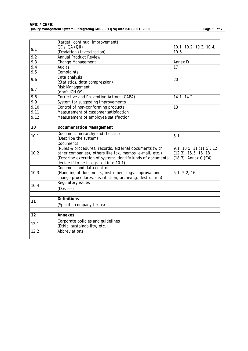|                 | (target: continual improvement)                                                                                                                                                                                                               |                                                                                 |
|-----------------|-----------------------------------------------------------------------------------------------------------------------------------------------------------------------------------------------------------------------------------------------|---------------------------------------------------------------------------------|
| 9.1             | OC / OA (OU)                                                                                                                                                                                                                                  | 10.1, 10.2, 10.3, 10.4,                                                         |
| 9.2             | (Deviation /investigation)<br><b>Annual Product Review</b>                                                                                                                                                                                    | 10.6                                                                            |
| 9.3             | Change Management                                                                                                                                                                                                                             | Annex D                                                                         |
| 9.4             | <b>Audits</b>                                                                                                                                                                                                                                 | 17                                                                              |
| 9.5             | Complaints                                                                                                                                                                                                                                    |                                                                                 |
| 9.6             | Data analysis<br>(Statistics, data compression)                                                                                                                                                                                               | 20                                                                              |
| 9.7             | <b>Risk Management</b><br>(draft ICH Q9)                                                                                                                                                                                                      |                                                                                 |
| 9.8             | Corrective and Preventive Actions (CAPA)                                                                                                                                                                                                      | 14.1, 14.2                                                                      |
| 9.9             | System for suggesting improvements                                                                                                                                                                                                            |                                                                                 |
| 9.10            | Control of non-conforming products                                                                                                                                                                                                            | 13                                                                              |
| 9.11            | Measurement of customer satisfaction                                                                                                                                                                                                          |                                                                                 |
| 9.12            | Measurement of employee satisfaction                                                                                                                                                                                                          |                                                                                 |
|                 |                                                                                                                                                                                                                                               |                                                                                 |
| $\overline{10}$ | <b>Documentation Management</b>                                                                                                                                                                                                               |                                                                                 |
| 10.1            | Document hierarchy and structure<br>(Describe the system)                                                                                                                                                                                     | 5.1                                                                             |
| 10.2            | <b>Documents</b><br>(Rules & procedures, records, external documents (with<br>other companies), others like fax, memos, e-mail, etc.)<br>(Describe execution of system; identify kinds of documents;<br>decide if to be integrated into 10.1) | 9.1, 10.5, 11(11.5), 12<br>$(12.3)$ , 15.5, 16, 18<br>$(18.3)$ , Annex C $(C4)$ |
| 10.3            | Document and data control<br>(Handling of documents, instrument logs, approval and<br>change procedures, distribution, archiving, destruction)                                                                                                | 5.1, 5.2, 16                                                                    |
| 10.4            | <b>Regulatory issues</b><br>(Dossier)                                                                                                                                                                                                         |                                                                                 |
|                 |                                                                                                                                                                                                                                               |                                                                                 |
| 11              | <b>Definitions</b>                                                                                                                                                                                                                            |                                                                                 |
|                 | (Specific company terms)                                                                                                                                                                                                                      |                                                                                 |
|                 |                                                                                                                                                                                                                                               |                                                                                 |
| $\overline{12}$ | Annexes                                                                                                                                                                                                                                       |                                                                                 |
| 12.1            | Corporate policies and guidelines<br>(Ethic, sustainability, etc.)                                                                                                                                                                            |                                                                                 |
| 12.2            | Abbreviations                                                                                                                                                                                                                                 |                                                                                 |
|                 |                                                                                                                                                                                                                                               |                                                                                 |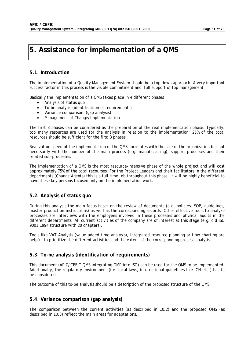## **5. Assistance for implementation of a QMS**

### **5.1. Introduction**

The implementation of a Quality Management System should be a top down approach. A very important success factor in this process is the visible commitment and full support of top management.

Basically the implementation of a QMS takes place in 4 different phases

- Analysis of status quo
- To-be analysis (identification of requirements)
- Variance comparison (gap analysis)
- Management of Change/Implementation

The first 3 phases can be considered as the preparation of the real implementation phase. Typically, too many resources are used for the analysis in relation to the implementation. 25% of the total resources should be sufficient for the first 3 phases.

Realization speed of the implementation of the QMS correlates with the size of the organization but not necessarily with the number of the main process (e.g. manufacturing), support processes and their related sub-processes.

The implementation of a QMS is the most resource-intensive phase of the whole project and will cost approximately 75% of the total recourses. For the Project Leaders and their facilitators in the different departments (Change Agents) this is a full time job throughout this phase. It will be highly beneficial to have these key persons focused only on the implementation work.

### **5.2. Analysis of status quo**

During this analysis the main focus is set on the review of documents (e.g. policies, SOP, guidelines, master production instructions) as well as the corresponding records. Other effective tools to analyze processes are interviews with the employees involved in these processes and physical audits in the different departments. All current activities of the company are of interest at this stage (e.g. old ISO 9001:1994 structure with 20 chapters).

Tools like VAT Analysis (value added time analysis), integrated resource planning or flow charting are helpful to prioritize the different activities and the extent of the corresponding process analysis.

### **5.3. To-be analysis (identification of requirements)**

This document (APIC/CEFIC-QMS integrating GMP into ISO) can be used for the QMS to be implemented. Additionally, the regulatory environment (i.e. local laws, international guidelines like ICH etc.) has to be considered.

The outcome of this to-be analysis should be a description of the proposed structure of the QMS.

### **5.4. Variance comparison (gap analysis)**

The comparison between the current activities (as described in 10.2) and the proposed QMS (as described in 10.3) reflect the main areas for adaptations.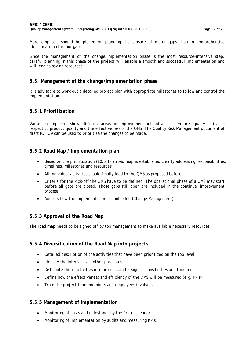More emphasis should be placed on planning the closure of major gaps than in comprehensive identification of minor gaps.

Since the management of the change/implementation phase is the most resource-intensive step, careful planning in this phase of the project will enable a smooth and successful implementation and will lead to saving resources.

### **5.5. Management of the change/implementation phase**

It is advisable to work out a detailed project plan with appropriate milestones to follow and control the implementation.

### **5.5.1 Prioritization**

Variance comparison shows different areas for improvement but not all of them are equally critical in respect to product quality and the effectiveness of the QMS. The Quality Risk Management document of draft ICH Q9 can be used to prioritize the changes to be made.

### **5.5.2 Road Map / Implementation plan**

- Based on the prioritization (10.5.1) a road map is established clearly addressing responsibilities, timelines, milestones and resources.
- All individual activities should finally lead to the QMS as proposed before.
- Criteria for the kick-off the QMS have to be defined. The operational phase of a QMS may start before all gaps are closed. Those gaps still open are included in the continual improvement process.
- Address how the implementation is controlled (Change Management)

### **5.5.3 Approval of the Road Map**

The road map needs to be signed off by top management to make available necessary resources.

### **5.5.4 Diversification of the Road Map into projects**

- Detailed description of the activities that have been prioritized on the top level.
- Identify the interfaces to other processes.
- Distribute these activities into projects and assign responsibilities and timelines.
- Define how the effectiveness and efficiency of the QMS will be measured (e.g. KPIs)
- Train the project team members and employees involved.

### **5.5.5 Management of implementation**

- Monitoring of costs and milestones by the Project leader.
- Monitoring of implementation by audits and measuring KPIs.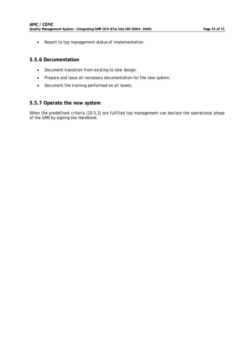• Report to top management status of implementation.

### **5.5.6 Documentation**

- Document transition from existing to new design.
- Prepare and issue all necessary documentation for the new system.
- Document the training performed on all levels.

### **5.5.7 Operate the new system**

When the predefined criteria (10.5.2) are fulfilled top management can declare the operational phase of the QMS by signing the Handbook.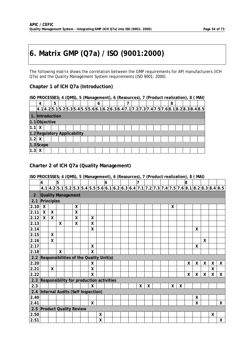# **6. Matrix GMP (Q7a) / ISO (9001:2000)**

The following matrix shows the correlation between the GMP requirements for API manufacturers (ICH Q7a) and the Quality Management System requirements (ISO 9001: 2000).

### **Chapter 1 of ICH Q7a (Introduction)**

|                              | ISO PROCESSES; 4 (QMS), 5 (Management), 6 (Resources), 7 (Product realization), 8 (MAI)<br>5<br>8<br>4<br>h<br> 4.1 4.2 5.1 5.2 5.3 5.4 5.5 5.6 6.1 6.2 6.3 6.4 7.1 7.2 7.3 7.4 7.5 7.6 8.1 8.2 8.3 8.4 8.5 |  |  |  |  |  |  |  |  |  |  |  |  |  |  |  |  |  |  |  |
|------------------------------|-------------------------------------------------------------------------------------------------------------------------------------------------------------------------------------------------------------|--|--|--|--|--|--|--|--|--|--|--|--|--|--|--|--|--|--|--|
|                              |                                                                                                                                                                                                             |  |  |  |  |  |  |  |  |  |  |  |  |  |  |  |  |  |  |  |
|                              | 1. Introduction                                                                                                                                                                                             |  |  |  |  |  |  |  |  |  |  |  |  |  |  |  |  |  |  |  |
|                              |                                                                                                                                                                                                             |  |  |  |  |  |  |  |  |  |  |  |  |  |  |  |  |  |  |  |
| 1.1                          | 1.1Objective<br>X.                                                                                                                                                                                          |  |  |  |  |  |  |  |  |  |  |  |  |  |  |  |  |  |  |  |
| 1.2 Regulatory Applicability |                                                                                                                                                                                                             |  |  |  |  |  |  |  |  |  |  |  |  |  |  |  |  |  |  |  |
| 1.2                          |                                                                                                                                                                                                             |  |  |  |  |  |  |  |  |  |  |  |  |  |  |  |  |  |  |  |
| $ 1.3 $ Scope                |                                                                                                                                                                                                             |  |  |  |  |  |  |  |  |  |  |  |  |  |  |  |  |  |  |  |
| 1.3                          |                                                                                                                                                                                                             |  |  |  |  |  |  |  |  |  |  |  |  |  |  |  |  |  |  |  |

### **Charter 2 of ICH Q7a (Quality Management)**

|                | 4                                        |   | 5 |   |   |   | 6 |  | 7 |   |  |   |   | 8            |                                                                                               |                           |   |              |
|----------------|------------------------------------------|---|---|---|---|---|---|--|---|---|--|---|---|--------------|-----------------------------------------------------------------------------------------------|---------------------------|---|--------------|
|                |                                          |   |   |   |   |   |   |  |   |   |  |   |   |              | $4.1 4.2 5.1 5.2 5.3 5.4 5.5 5.6 6.1 6.2 6.3 6.4 7.1 7.2 7.3 7.4 7.5 7.6 8.1 8.2 8.3 8.4 8.5$ |                           |   |              |
| $\overline{2}$ | <b>Quality Management</b>                |   |   |   |   |   |   |  |   |   |  |   |   |              |                                                                                               |                           |   |              |
| 2.1            | Principles                               |   |   |   |   |   |   |  |   |   |  |   |   |              |                                                                                               |                           |   |              |
| 2.10           | X                                        |   |   | X |   |   |   |  |   |   |  | X |   |              |                                                                                               |                           |   |              |
| 2.11           | Χ                                        | Χ |   | X |   |   |   |  |   |   |  |   |   |              |                                                                                               |                           |   |              |
| 2.12           | X                                        | X |   | X | X |   |   |  |   |   |  |   |   |              |                                                                                               |                           |   |              |
| 2.13           |                                          |   | X | X | X |   |   |  |   |   |  |   |   |              |                                                                                               |                           |   |              |
| 2.14           |                                          |   |   |   | Χ |   |   |  |   |   |  |   |   |              | $\mathsf{X}$                                                                                  |                           |   |              |
| 2.15           |                                          | X |   |   |   |   |   |  |   |   |  |   |   |              |                                                                                               |                           |   |              |
| 2.16           |                                          | X |   |   |   |   |   |  |   |   |  |   |   |              |                                                                                               | $\boldsymbol{\mathsf{X}}$ |   |              |
| 2.17           |                                          |   |   |   | Χ |   |   |  |   |   |  |   |   |              | X                                                                                             |                           |   |              |
| 2.18           |                                          |   | X |   | X |   |   |  |   |   |  |   |   |              |                                                                                               |                           |   |              |
| 2.2            | Responsibilities of the Quality Unit(s)  |   |   |   |   |   |   |  |   |   |  |   |   |              |                                                                                               |                           |   |              |
| 2.20           |                                          |   |   |   | X |   |   |  |   |   |  |   |   | X            | X                                                                                             | X                         | X | X            |
| 2.21           |                                          | X |   |   | X |   |   |  |   |   |  |   |   |              |                                                                                               |                           | X |              |
| 2.22           |                                          |   |   |   | X |   |   |  |   |   |  |   |   | $\mathsf{X}$ | X                                                                                             | X                         | X | X            |
| 2.3            | Responsibility for production activities |   |   |   |   |   |   |  |   |   |  |   |   |              |                                                                                               |                           |   |              |
| 2.3            |                                          |   |   |   | X |   |   |  | χ | χ |  | X | X |              |                                                                                               |                           |   |              |
| 2.4            | Internal Audits (Self Inspection)        |   |   |   |   |   |   |  |   |   |  |   |   |              |                                                                                               |                           |   |              |
| 2.40           |                                          |   |   |   |   |   |   |  |   |   |  |   |   |              | X                                                                                             |                           |   |              |
| 2.41           |                                          |   |   |   | X |   |   |  |   |   |  |   |   |              | $\mathsf{X}$                                                                                  |                           |   | $\mathsf{X}$ |
| 2.5            | <b>Product Quality Review</b>            |   |   |   |   |   |   |  |   |   |  |   |   |              |                                                                                               |                           |   |              |
| 2.50           |                                          |   |   |   |   | X |   |  |   |   |  |   |   |              |                                                                                               |                           | X |              |
| 2.51           |                                          |   |   |   |   | Χ |   |  |   |   |  |   |   |              |                                                                                               |                           |   | X            |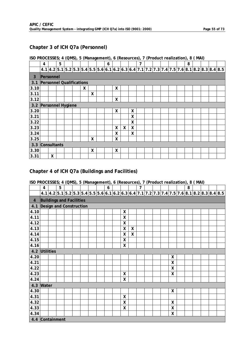### **Chapter 3 of ICH Q7a (Personnel)**

### **ISO PROCESSES; 4 (QMS), 5 (Management), 6 (Resources), 7 (Product realization), 8 ( MAI)**

|      | 4                               |   | 5 |  |   |   | 6 |   |   |                    | 7 |  |  | 8 |  |                                                                                                |
|------|---------------------------------|---|---|--|---|---|---|---|---|--------------------|---|--|--|---|--|------------------------------------------------------------------------------------------------|
|      |                                 |   |   |  |   |   |   |   |   |                    |   |  |  |   |  | $4.1 4.2 5.1 5.2 5.3 5.4 5.5 5.6 6.1 6.2 6.3 6.4 7.1 7.2 7.3 7.4 7.5 7.6 8.1 8.2 8.3 8.4 8.5 $ |
| 3    | Personnel                       |   |   |  |   |   |   |   |   |                    |   |  |  |   |  |                                                                                                |
| 3.1  | <b>Personnel Qualifications</b> |   |   |  |   |   |   |   |   |                    |   |  |  |   |  |                                                                                                |
| 3.10 |                                 |   |   |  | X |   |   | X |   |                    |   |  |  |   |  |                                                                                                |
| 3.11 |                                 |   |   |  |   | X |   |   |   |                    |   |  |  |   |  |                                                                                                |
| 3.12 |                                 |   |   |  |   |   |   | X |   |                    |   |  |  |   |  |                                                                                                |
| 3.2  | Personnel Hygiene               |   |   |  |   |   |   |   |   |                    |   |  |  |   |  |                                                                                                |
| 3.20 |                                 |   |   |  |   |   |   | X |   | χ                  |   |  |  |   |  |                                                                                                |
| 3.21 |                                 |   |   |  |   |   |   |   |   | X                  |   |  |  |   |  |                                                                                                |
| 3.22 |                                 |   |   |  |   |   |   |   |   | X                  |   |  |  |   |  |                                                                                                |
| 3.23 |                                 |   |   |  |   |   |   | X | X | $\pmb{\mathsf{X}}$ |   |  |  |   |  |                                                                                                |
| 3.24 |                                 |   |   |  |   |   |   | X |   | χ                  |   |  |  |   |  |                                                                                                |
| 3.25 |                                 |   |   |  |   | X |   | χ |   |                    |   |  |  |   |  |                                                                                                |
| 3.3  | Consultants                     |   |   |  |   |   |   |   |   |                    |   |  |  |   |  |                                                                                                |
| 3.30 |                                 |   |   |  |   | X |   | X |   |                    |   |  |  |   |  |                                                                                                |
| 3.31 |                                 | X |   |  |   |   |   |   |   |                    |   |  |  |   |  |                                                                                                |

### **Chapter 4 of ICH Q7a (Buildings and Facilities)**

|                         | 4                               |  | 5 |  |  |  |  |  | 6 |  |   |                  | $\overline{7}$ |                                                                                                |  |                           | 8 |  |  |  |
|-------------------------|---------------------------------|--|---|--|--|--|--|--|---|--|---|------------------|----------------|------------------------------------------------------------------------------------------------|--|---------------------------|---|--|--|--|
|                         |                                 |  |   |  |  |  |  |  |   |  |   |                  |                | $4.1 4.2 5.1 5.2 5.3 5.4 5.5 5.6 6.1 6.2 6.3 6.4 7.1 7.2 7.3 7.4 7.5 7.6 8.1 8.2 8.3 8.4 8.5 $ |  |                           |   |  |  |  |
| $\overline{\mathbf{4}}$ | <b>Buildings and Facilities</b> |  |   |  |  |  |  |  |   |  |   |                  |                |                                                                                                |  |                           |   |  |  |  |
| 4.1                     | Design and Construction         |  |   |  |  |  |  |  |   |  |   |                  |                |                                                                                                |  |                           |   |  |  |  |
| 4.10                    |                                 |  |   |  |  |  |  |  |   |  | X |                  |                |                                                                                                |  |                           |   |  |  |  |
| 4.11                    |                                 |  |   |  |  |  |  |  |   |  | Χ |                  |                |                                                                                                |  |                           |   |  |  |  |
| 4.12                    |                                 |  |   |  |  |  |  |  |   |  | Χ |                  |                |                                                                                                |  |                           |   |  |  |  |
| 4.13                    |                                 |  |   |  |  |  |  |  |   |  | X | $\boldsymbol{X}$ |                |                                                                                                |  |                           |   |  |  |  |
| 4.14                    |                                 |  |   |  |  |  |  |  |   |  | Χ | X                |                |                                                                                                |  |                           |   |  |  |  |
| 4.15                    |                                 |  |   |  |  |  |  |  |   |  | χ |                  |                |                                                                                                |  |                           |   |  |  |  |
| 4.16                    |                                 |  |   |  |  |  |  |  |   |  | Χ |                  |                |                                                                                                |  |                           |   |  |  |  |
|                         |                                 |  |   |  |  |  |  |  |   |  |   |                  |                |                                                                                                |  |                           |   |  |  |  |
| 4.20                    | 4.2 Utilities<br>X              |  |   |  |  |  |  |  |   |  |   |                  |                |                                                                                                |  |                           |   |  |  |  |
| 4.21                    |                                 |  |   |  |  |  |  |  |   |  |   |                  |                |                                                                                                |  | $\boldsymbol{X}$          |   |  |  |  |
| 4.22                    |                                 |  |   |  |  |  |  |  |   |  |   |                  |                |                                                                                                |  | X                         |   |  |  |  |
| 4.23                    |                                 |  |   |  |  |  |  |  |   |  | X |                  |                |                                                                                                |  | $\mathsf{X}$              |   |  |  |  |
| 4.24                    |                                 |  |   |  |  |  |  |  |   |  | X |                  |                |                                                                                                |  |                           |   |  |  |  |
| 4.3                     | Water                           |  |   |  |  |  |  |  |   |  |   |                  |                |                                                                                                |  |                           |   |  |  |  |
| 4.30                    |                                 |  |   |  |  |  |  |  |   |  |   |                  |                |                                                                                                |  | $\boldsymbol{\mathsf{X}}$ |   |  |  |  |
| 4.31                    |                                 |  |   |  |  |  |  |  |   |  | χ |                  |                |                                                                                                |  |                           |   |  |  |  |
| 4.32                    |                                 |  |   |  |  |  |  |  |   |  | X |                  |                |                                                                                                |  | X                         |   |  |  |  |
| 4.33                    |                                 |  |   |  |  |  |  |  |   |  | X |                  |                |                                                                                                |  | X                         |   |  |  |  |
| 4.34                    |                                 |  |   |  |  |  |  |  |   |  |   |                  |                |                                                                                                |  | $\mathsf{X}$              |   |  |  |  |
| 4.4 Containment         |                                 |  |   |  |  |  |  |  |   |  |   |                  |                |                                                                                                |  |                           |   |  |  |  |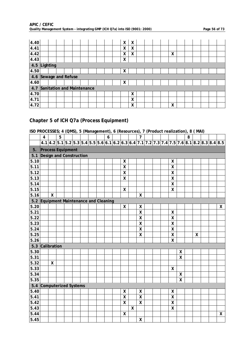| 4.40                  |          |  |                            |  |  | χ | χ |  |  |   |  |  |  |
|-----------------------|----------|--|----------------------------|--|--|---|---|--|--|---|--|--|--|
| 4.41                  |          |  |                            |  |  | χ | χ |  |  |   |  |  |  |
| 4.42                  |          |  |                            |  |  | χ | Χ |  |  | X |  |  |  |
| 4.43                  |          |  |                            |  |  | X |   |  |  |   |  |  |  |
| 4.5                   | Lighting |  |                            |  |  |   |   |  |  |   |  |  |  |
| 4.50                  |          |  |                            |  |  | χ |   |  |  |   |  |  |  |
| 4.6 Sewage and Refuse |          |  |                            |  |  |   |   |  |  |   |  |  |  |
| 4.60                  |          |  |                            |  |  | χ |   |  |  |   |  |  |  |
| 4.7                   |          |  | Sanitation and Maintenance |  |  |   |   |  |  |   |  |  |  |
| 4.70                  |          |  |                            |  |  |   | Χ |  |  |   |  |  |  |
| 4.71                  |          |  |                            |  |  |   | Χ |  |  |   |  |  |  |
| 4.72                  |          |  |                            |  |  |   | х |  |  | X |  |  |  |

### **Chapter 5 of ICH Q7a (Process Equipment)**

|       | $\overline{\mathbf{4}}$            |                           | 5 |  |  | 6 |                    |   | $\overline{7}$            |                                                                                                |  |                           |                           | 8 |   |  |                    |
|-------|------------------------------------|---------------------------|---|--|--|---|--------------------|---|---------------------------|------------------------------------------------------------------------------------------------|--|---------------------------|---------------------------|---|---|--|--------------------|
|       |                                    |                           |   |  |  |   |                    |   |                           | $4.1 4.2 5.1 5.2 5.3 5.4 5.5 5.6 6.1 6.2 6.3 6.4 7.1 7.2 7.3 7.4 7.5 7.6 8.1 8.2 8.3 8.4 8.5 $ |  |                           |                           |   |   |  |                    |
| 5.    | <b>Process Equipment</b>           |                           |   |  |  |   |                    |   |                           |                                                                                                |  |                           |                           |   |   |  |                    |
| 5.1   | Design and Construction            |                           |   |  |  |   |                    |   |                           |                                                                                                |  |                           |                           |   |   |  |                    |
| 5.10  |                                    |                           |   |  |  |   | $\pmb{\mathsf{X}}$ |   |                           |                                                                                                |  | X                         |                           |   |   |  |                    |
| 5.11  |                                    |                           |   |  |  |   | $\pmb{\mathsf{X}}$ |   |                           |                                                                                                |  | $\mathsf{X}$              |                           |   |   |  |                    |
| 5.12  |                                    |                           |   |  |  |   | $\mathsf{X}$       |   |                           |                                                                                                |  | $\mathsf{\overline{X}}$   |                           |   |   |  |                    |
| 5.13  |                                    |                           |   |  |  |   | $\pmb{\mathsf{X}}$ |   |                           |                                                                                                |  | $\boldsymbol{\mathsf{X}}$ |                           |   |   |  |                    |
| 5.14  |                                    |                           |   |  |  |   |                    |   |                           |                                                                                                |  | $\boldsymbol{\mathsf{X}}$ |                           |   |   |  |                    |
| 5.15  |                                    |                           |   |  |  |   | $\pmb{\mathsf{X}}$ |   |                           |                                                                                                |  | $\mathsf{\overline{X}}$   |                           |   |   |  |                    |
| 5.16  |                                    | $\boldsymbol{\mathsf{X}}$ |   |  |  |   |                    |   | $\boldsymbol{\mathsf{X}}$ |                                                                                                |  |                           |                           |   |   |  |                    |
| $5.2$ | Equipment Maintenance and Cleaning |                           |   |  |  |   |                    |   |                           |                                                                                                |  |                           |                           |   |   |  |                    |
| 5.20  |                                    |                           |   |  |  |   | χ                  |   | X                         |                                                                                                |  |                           |                           |   |   |  | X                  |
| 5.21  |                                    |                           |   |  |  |   |                    |   | $\boldsymbol{\mathsf{X}}$ |                                                                                                |  | $\pmb{\mathsf{X}}$        |                           |   |   |  |                    |
| 5.22  |                                    |                           |   |  |  |   |                    |   | $\boldsymbol{\mathsf{X}}$ |                                                                                                |  | $\mathsf{X}$              |                           |   |   |  |                    |
| 5.23  |                                    |                           |   |  |  |   |                    |   | $\pmb{\mathsf{X}}$        |                                                                                                |  | $\mathsf{X}$              |                           |   |   |  |                    |
| 5.24  |                                    |                           |   |  |  |   |                    |   | $\mathsf{\overline{X}}$   |                                                                                                |  | $\boldsymbol{\mathsf{X}}$ |                           |   |   |  |                    |
| 5.25  |                                    |                           |   |  |  |   |                    |   | $\mathsf{\overline{X}}$   |                                                                                                |  | $\boldsymbol{\mathsf{X}}$ |                           |   | X |  |                    |
| 5.26  |                                    |                           |   |  |  |   |                    |   |                           |                                                                                                |  | $\mathsf{X}$              |                           |   |   |  |                    |
| $5.3$ | Calibration                        |                           |   |  |  |   |                    |   |                           |                                                                                                |  |                           |                           |   |   |  |                    |
| 5.30  |                                    |                           |   |  |  |   |                    |   |                           |                                                                                                |  |                           | X                         |   |   |  |                    |
| 5.31  |                                    |                           |   |  |  |   |                    |   |                           |                                                                                                |  |                           | $\overline{\mathsf{X}}$   |   |   |  |                    |
| 5.32  |                                    | $\boldsymbol{\mathsf{X}}$ |   |  |  |   |                    |   |                           |                                                                                                |  |                           |                           |   |   |  |                    |
| 5.33  |                                    |                           |   |  |  |   |                    |   |                           |                                                                                                |  | $\mathsf{X}$              |                           |   |   |  |                    |
| 5.34  |                                    |                           |   |  |  |   |                    |   |                           |                                                                                                |  |                           | $\boldsymbol{\mathsf{X}}$ |   |   |  |                    |
| 5.35  |                                    |                           |   |  |  |   |                    |   |                           |                                                                                                |  |                           | $\mathsf{\chi}$           |   |   |  |                    |
| 5.4   | Computerized Systems               |                           |   |  |  |   |                    |   |                           |                                                                                                |  |                           |                           |   |   |  |                    |
| 5.40  |                                    |                           |   |  |  |   | $\pmb{\mathsf{X}}$ |   | $\pmb{\mathsf{X}}$        |                                                                                                |  | $\boldsymbol{\mathsf{X}}$ |                           |   |   |  |                    |
| 5.41  |                                    |                           |   |  |  |   | $\pmb{\mathsf{X}}$ |   | $\mathsf{\overline{X}}$   |                                                                                                |  | $\mathsf{X}$              |                           |   |   |  |                    |
| 5.42  |                                    |                           |   |  |  |   | $\pmb{\mathsf{X}}$ |   | $\mathsf{\overline{X}}$   |                                                                                                |  | $\boldsymbol{\mathsf{X}}$ |                           |   |   |  |                    |
| 5.43  |                                    |                           |   |  |  |   |                    | X |                           |                                                                                                |  | $\mathsf{X}$              |                           |   |   |  |                    |
| 5.44  |                                    |                           |   |  |  |   | X                  |   |                           |                                                                                                |  |                           |                           |   |   |  | $\pmb{\mathsf{X}}$ |
| 5.45  |                                    |                           |   |  |  |   |                    |   | X                         |                                                                                                |  |                           |                           |   |   |  |                    |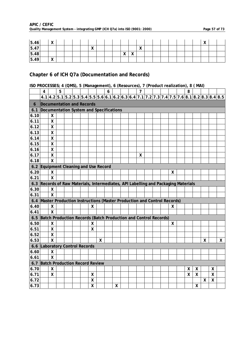| APIC / CEFIC                                                                |  |
|-----------------------------------------------------------------------------|--|
| Quality Management System - integrating GMP (ICH Q7a) into ISO (9001: 2000) |  |

| 5.46 | $\mathbf{v}$<br>$\lambda$   |  |  |                           |  |                              |                           |                           |  |  |  | $\mathbf{v}$<br>$\lambda$ |  |
|------|-----------------------------|--|--|---------------------------|--|------------------------------|---------------------------|---------------------------|--|--|--|---------------------------|--|
| 5.47 |                             |  |  | $\mathbf{v}$<br>$\lambda$ |  |                              |                           | $\mathbf{v}$<br>$\lambda$ |  |  |  |                           |  |
| 5.48 |                             |  |  |                           |  | $\mathbf{v}$<br>$\mathbf{v}$ | $\lambda$<br>$\mathbf{v}$ |                           |  |  |  |                           |  |
| 5.49 | $\overline{v}$<br>$\lambda$ |  |  |                           |  |                              |                           |                           |  |  |  |                           |  |

### **Chapter 6 of ICH Q7a (Documentation and Records)**

|      | 4                                                                              |                         | 5 |                                         |                    |   | 6 |                    |  | $\overline{7}$ |  |   | 8 |   |   |   |                                                                                               |
|------|--------------------------------------------------------------------------------|-------------------------|---|-----------------------------------------|--------------------|---|---|--------------------|--|----------------|--|---|---|---|---|---|-----------------------------------------------------------------------------------------------|
|      |                                                                                |                         |   |                                         |                    |   |   |                    |  |                |  |   |   |   |   |   | $4.1 4.2 5.1 5.2 5.3 5.4 5.5 5.6 6.1 6.2 6.3 6.4 7.1 7.2 7.3 7.4 7.5 7.6 8.1 8.2 8.3 8.4 8.5$ |
| 6    |                                                                                |                         |   | Documentation and Records               |                    |   |   |                    |  |                |  |   |   |   |   |   |                                                                                               |
| 6.1  |                                                                                |                         |   | Documentation System and Specifications |                    |   |   |                    |  |                |  |   |   |   |   |   |                                                                                               |
| 6.10 |                                                                                | X                       |   |                                         |                    |   |   |                    |  |                |  |   |   |   |   |   |                                                                                               |
| 6.11 |                                                                                | $\pmb{\mathsf{X}}$      |   |                                         |                    |   |   |                    |  |                |  |   |   |   |   |   |                                                                                               |
| 6.12 |                                                                                | $\mathsf{X}$            |   |                                         |                    |   |   |                    |  |                |  |   |   |   |   |   |                                                                                               |
| 6.13 |                                                                                | $\mathsf{X}$            |   |                                         |                    |   |   |                    |  |                |  |   |   |   |   |   |                                                                                               |
| 6.14 |                                                                                | $\pmb{\mathsf{X}}$      |   |                                         |                    |   |   |                    |  |                |  |   |   |   |   |   |                                                                                               |
| 6.15 |                                                                                | $\sf X$                 |   |                                         |                    |   |   |                    |  |                |  |   |   |   |   |   |                                                                                               |
| 6.16 |                                                                                | $\pmb{\mathsf{X}}$      |   |                                         |                    |   |   |                    |  |                |  |   |   |   |   |   |                                                                                               |
| 6.17 |                                                                                | $\overline{\mathsf{x}}$ |   |                                         |                    |   |   |                    |  | Χ              |  |   |   |   |   |   |                                                                                               |
| 6.18 |                                                                                | $\mathsf{x}$            |   |                                         |                    |   |   |                    |  |                |  |   |   |   |   |   |                                                                                               |
| 6.2  | Equipment Cleaning and Use Record                                              |                         |   |                                         |                    |   |   |                    |  |                |  |   |   |   |   |   |                                                                                               |
| 6.20 |                                                                                | X                       |   |                                         |                    |   |   |                    |  |                |  | X |   |   |   |   |                                                                                               |
| 6.21 |                                                                                | $\mathsf{X}$            |   |                                         |                    |   |   |                    |  |                |  |   |   |   |   |   |                                                                                               |
| 6.3  | Records of Raw Materials, Intermediates, API Labelling and Packaging Materials |                         |   |                                         |                    |   |   |                    |  |                |  |   |   |   |   |   |                                                                                               |
| 6.30 |                                                                                | χ                       |   |                                         |                    |   |   |                    |  |                |  |   |   |   |   |   |                                                                                               |
| 6.31 |                                                                                | $\mathsf{x}$            |   |                                         |                    |   |   |                    |  |                |  |   |   |   |   |   |                                                                                               |
| 6.4  | Master Production Instructions (Master Production and Control Records)         |                         |   |                                         |                    |   |   |                    |  |                |  |   |   |   |   |   |                                                                                               |
| 6.40 |                                                                                | X                       |   |                                         | Χ                  |   |   |                    |  |                |  | X |   |   |   |   |                                                                                               |
| 6.41 |                                                                                | $\mathsf{x}$            |   |                                         |                    |   |   |                    |  |                |  |   |   |   |   |   |                                                                                               |
| 6.5  | Batch Production Records (Batch Production and Control Records)                |                         |   |                                         |                    |   |   |                    |  |                |  |   |   |   |   |   |                                                                                               |
| 6.50 |                                                                                | X                       |   |                                         | X                  |   |   |                    |  |                |  | X |   |   |   |   |                                                                                               |
| 6.51 |                                                                                | $\pmb{\mathsf{X}}$      |   |                                         | $\boldsymbol{X}$   |   |   |                    |  |                |  |   |   |   |   |   |                                                                                               |
| 6.52 |                                                                                | X                       |   |                                         |                    |   |   |                    |  |                |  |   |   |   |   |   |                                                                                               |
| 6.53 |                                                                                | $\mathsf{x}$            |   |                                         |                    | X |   |                    |  |                |  |   |   |   | X |   | X                                                                                             |
| 6.6  | <b>Laboratory Control Records</b>                                              |                         |   |                                         |                    |   |   |                    |  |                |  |   |   |   |   |   |                                                                                               |
| 6.60 |                                                                                | X                       |   |                                         |                    |   |   |                    |  |                |  |   |   |   |   |   |                                                                                               |
| 6.61 |                                                                                | $\mathsf{x}$            |   |                                         |                    |   |   |                    |  |                |  |   |   |   |   |   |                                                                                               |
| 6.7  | <b>Batch Production Record Review</b>                                          |                         |   |                                         |                    |   |   |                    |  |                |  |   |   |   |   |   |                                                                                               |
| 6.70 |                                                                                | χ                       |   |                                         |                    |   |   |                    |  |                |  |   | X | X |   | x |                                                                                               |
| 6.71 |                                                                                | X                       |   |                                         | X                  |   |   |                    |  |                |  |   | X | X |   | Χ |                                                                                               |
| 6.72 |                                                                                |                         |   |                                         | $\pmb{\mathsf{X}}$ |   |   |                    |  |                |  |   |   |   | Χ | X |                                                                                               |
| 6.73 |                                                                                |                         |   |                                         | X                  |   |   | $\pmb{\mathsf{X}}$ |  |                |  |   |   | X |   |   |                                                                                               |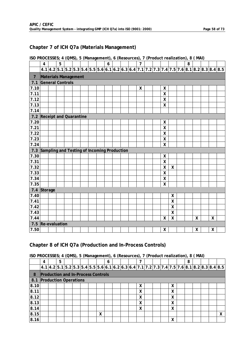### **Chapter 7 of ICH Q7a (Materials Management)**

| ISO PROCESSES; 4 (QMS), 5 (Management), 6 (Resources), 7 (Product realization), 8 (MAI) |  |  |
|-----------------------------------------------------------------------------------------|--|--|
|-----------------------------------------------------------------------------------------|--|--|

|                            | 4                                           | 5 |  |  | 6 |  | $\overline{7}$ |  |                           |                         | 8 |   |   |                                                                                               |
|----------------------------|---------------------------------------------|---|--|--|---|--|----------------|--|---------------------------|-------------------------|---|---|---|-----------------------------------------------------------------------------------------------|
|                            |                                             |   |  |  |   |  |                |  |                           |                         |   |   |   | $4.1 4.2 5.1 5.2 5.3 5.4 5.5 5.6 6.1 6.2 6.3 6.4 7.1 7.2 7.3 7.4 7.5 7.6 8.1 8.2 8.3 8.4 8.5$ |
| $\overline{7}$             | Materials Management                        |   |  |  |   |  |                |  |                           |                         |   |   |   |                                                                                               |
| 7.1                        | <b>General Controls</b>                     |   |  |  |   |  |                |  |                           |                         |   |   |   |                                                                                               |
| 7.10                       |                                             |   |  |  |   |  | X              |  | X                         |                         |   |   |   |                                                                                               |
| 7.11                       |                                             |   |  |  |   |  |                |  | $\pmb{\mathsf{X}}$        |                         |   |   |   |                                                                                               |
| 7.12                       |                                             |   |  |  |   |  |                |  | $\pmb{\mathsf{X}}$        |                         |   |   |   |                                                                                               |
| 7.13                       |                                             |   |  |  |   |  |                |  | $\sf X$                   |                         |   |   |   |                                                                                               |
| 7.14                       |                                             |   |  |  |   |  |                |  |                           |                         |   |   |   |                                                                                               |
| 7.2 Receipt and Quarantine |                                             |   |  |  |   |  |                |  |                           |                         |   |   |   |                                                                                               |
| 7.20                       |                                             |   |  |  |   |  |                |  | X                         |                         |   |   |   |                                                                                               |
| 7.21                       |                                             |   |  |  |   |  |                |  | $\mathsf{X}$              |                         |   |   |   |                                                                                               |
| 7.22                       |                                             |   |  |  |   |  |                |  | $\pmb{\mathsf{X}}$        |                         |   |   |   |                                                                                               |
| 7.23                       |                                             |   |  |  |   |  |                |  | $\boldsymbol{\mathsf{X}}$ |                         |   |   |   |                                                                                               |
| 7.24                       |                                             |   |  |  |   |  |                |  | $\pmb{\mathsf{X}}$        |                         |   |   |   |                                                                                               |
| 7.3                        | Sampling and Testing of Incoming Production |   |  |  |   |  |                |  |                           |                         |   |   |   |                                                                                               |
| 7.30                       |                                             |   |  |  |   |  |                |  | X                         |                         |   |   |   |                                                                                               |
| 7.31                       |                                             |   |  |  |   |  |                |  | $\boldsymbol{X}$          |                         |   |   |   |                                                                                               |
| 7.32                       |                                             |   |  |  |   |  |                |  | Χ                         | X                       |   |   |   |                                                                                               |
| 7.33                       |                                             |   |  |  |   |  |                |  | $\mathsf{X}$              |                         |   |   |   |                                                                                               |
| 7.34                       |                                             |   |  |  |   |  |                |  | $\boldsymbol{\mathsf{X}}$ |                         |   |   |   |                                                                                               |
| 7.35                       |                                             |   |  |  |   |  |                |  | X                         |                         |   |   |   |                                                                                               |
| 7.4 Storage                |                                             |   |  |  |   |  |                |  |                           |                         |   |   |   |                                                                                               |
| 7.40                       |                                             |   |  |  |   |  |                |  |                           | X                       |   |   |   |                                                                                               |
| 7.41                       |                                             |   |  |  |   |  |                |  |                           | $\overline{\mathsf{X}}$ |   |   |   |                                                                                               |
| 7.42                       |                                             |   |  |  |   |  |                |  |                           | Χ                       |   |   |   |                                                                                               |
| 7.43                       |                                             |   |  |  |   |  |                |  |                           | χ                       |   |   |   |                                                                                               |
| 7.44                       |                                             |   |  |  |   |  |                |  | $\boldsymbol{X}$          | Χ                       |   | X | X |                                                                                               |
| 7.5 Re-evaluation          |                                             |   |  |  |   |  |                |  |                           |                         |   |   |   |                                                                                               |
| 7.50                       |                                             |   |  |  |   |  |                |  | Χ                         |                         |   | X | Χ |                                                                                               |

### **Chapter 8 of ICH Q7a (Production and In-Process Controls)**

|      |   |   | , ,                                                                                         |  |   | , , |  | , , |  |   | , , |  |   |
|------|---|---|---------------------------------------------------------------------------------------------|--|---|-----|--|-----|--|---|-----|--|---|
|      | 4 | 5 |                                                                                             |  |   | 6   |  | 7   |  |   | 8   |  |   |
|      |   |   | 4.1 4.2 5.1 5.2 5.3 5.4 5.5 5.6 6.1 6.2 6.3 6.4 7.1 7.2 7.3 7.4 7.5 7.6 8.1 8.2 8.3 8.4 8.5 |  |   |     |  |     |  |   |     |  |   |
| 8    |   |   | <b>Production and In-Process Controls</b>                                                   |  |   |     |  |     |  |   |     |  |   |
| 8.1  |   |   | <b>Production Operations</b>                                                                |  |   |     |  |     |  |   |     |  |   |
| 8.10 |   |   |                                                                                             |  |   |     |  | X   |  | X |     |  |   |
| 8.11 |   |   |                                                                                             |  |   |     |  | X   |  | X |     |  |   |
| 8.12 |   |   |                                                                                             |  |   |     |  | Χ   |  | X |     |  |   |
| 8.13 |   |   |                                                                                             |  |   |     |  | X   |  | X |     |  |   |
| 8.14 |   |   |                                                                                             |  |   |     |  | X   |  | X |     |  |   |
| 8.15 |   |   |                                                                                             |  | X |     |  |     |  |   |     |  | X |
| 8.16 |   |   |                                                                                             |  |   |     |  |     |  | X |     |  |   |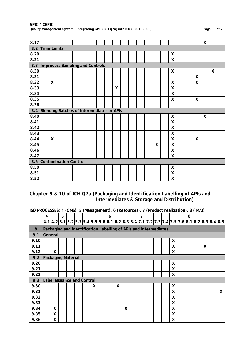| 8.17 |                                           |   |  |  |  |                    |  |  |   |                           |  |                    | X |   |  |
|------|-------------------------------------------|---|--|--|--|--------------------|--|--|---|---------------------------|--|--------------------|---|---|--|
| 8.2  | Time Limits                               |   |  |  |  |                    |  |  |   |                           |  |                    |   |   |  |
| 8.20 |                                           |   |  |  |  |                    |  |  |   | $\boldsymbol{\mathsf{X}}$ |  |                    |   |   |  |
| 8.21 |                                           |   |  |  |  |                    |  |  |   | $\boldsymbol{X}$          |  |                    |   |   |  |
| 8.3  | In-process Sampling and Controls          |   |  |  |  |                    |  |  |   |                           |  |                    |   |   |  |
| 8.30 |                                           |   |  |  |  |                    |  |  |   | X                         |  |                    |   | X |  |
| 8.31 |                                           |   |  |  |  |                    |  |  |   |                           |  | X                  |   |   |  |
| 8.32 |                                           | X |  |  |  |                    |  |  |   | $\boldsymbol{X}$          |  | X                  |   |   |  |
| 8.33 |                                           |   |  |  |  | $\pmb{\mathsf{X}}$ |  |  |   | $\boldsymbol{X}$          |  |                    |   |   |  |
| 8.34 |                                           |   |  |  |  |                    |  |  |   | $\boldsymbol{X}$          |  |                    |   |   |  |
| 8.35 |                                           |   |  |  |  |                    |  |  |   | $\boldsymbol{\mathsf{X}}$ |  | $\pmb{\mathsf{X}}$ |   |   |  |
| 8.36 |                                           |   |  |  |  |                    |  |  |   |                           |  |                    |   |   |  |
| 8.4  | Blending Batches of Intermediates or APIs |   |  |  |  |                    |  |  |   |                           |  |                    |   |   |  |
| 8.40 |                                           |   |  |  |  |                    |  |  |   | X                         |  |                    | X |   |  |
| 8.41 |                                           |   |  |  |  |                    |  |  |   | $\boldsymbol{\mathsf{X}}$ |  |                    |   |   |  |
| 8.42 |                                           |   |  |  |  |                    |  |  |   | X                         |  |                    |   |   |  |
| 8.43 |                                           |   |  |  |  |                    |  |  |   | $\boldsymbol{X}$          |  |                    |   |   |  |
| 8.44 |                                           | X |  |  |  |                    |  |  |   | X                         |  | X                  |   |   |  |
| 8.45 |                                           |   |  |  |  |                    |  |  | X | $\mathsf{X}$              |  |                    |   |   |  |
| 8.46 |                                           |   |  |  |  |                    |  |  |   | $\boldsymbol{\mathsf{X}}$ |  |                    |   |   |  |
| 8.47 |                                           |   |  |  |  |                    |  |  |   | $\boldsymbol{\mathsf{X}}$ |  |                    |   |   |  |
| 8.5  | Contamination Control                     |   |  |  |  |                    |  |  |   |                           |  |                    |   |   |  |
| 8.50 |                                           |   |  |  |  |                    |  |  |   | X                         |  |                    |   |   |  |
| 8.51 |                                           |   |  |  |  |                    |  |  |   | $\boldsymbol{\mathsf{X}}$ |  |                    |   |   |  |
| 8.52 |                                           |   |  |  |  |                    |  |  |   | $\boldsymbol{\mathsf{X}}$ |  |                    |   |   |  |

#### **APIC / CEFIC Quality Management System - integrating GMP (ICH Q7a) into ISO (9001: 2000) Page 59 of 73**

### **Chapter 9 & 10 of ICH Q7a (Packaging and Identification Labelling of APIs and Intermediates & Storage and Distribution)**

| ISO PROCESSES; 4 (QMS), 5 (Management), 6 (Resources), 7 (Product realization), 8 (MAI) |  |  |
|-----------------------------------------------------------------------------------------|--|--|

|      | 4                                                                |   | 5 |  |   | 6 |   |              | 7 |  |              | 8 |                                                                                                |   |              |
|------|------------------------------------------------------------------|---|---|--|---|---|---|--------------|---|--|--------------|---|------------------------------------------------------------------------------------------------|---|--------------|
|      |                                                                  |   |   |  |   |   |   |              |   |  |              |   | $4.1 4.2 5.1 5.2 5.3 5.4 5.5 5.6 6.1 6.2 6.3 6.4 7.1 7.2 7.3 7.4 7.5 7.6 8.1 8.2 8.3 8.4 8.5 $ |   |              |
| 9    | Packaging and Identification Labelling of APIs and Intermediates |   |   |  |   |   |   |              |   |  |              |   |                                                                                                |   |              |
| 9.1  | General                                                          |   |   |  |   |   |   |              |   |  |              |   |                                                                                                |   |              |
| 9.10 |                                                                  |   |   |  |   |   |   |              |   |  | X            |   |                                                                                                |   |              |
| 9.11 |                                                                  |   |   |  |   |   |   |              |   |  | $\mathsf{X}$ |   |                                                                                                | X |              |
| 9.12 |                                                                  | X |   |  |   |   |   |              |   |  | X            |   |                                                                                                |   |              |
| 9.2  | <b>Packaging Material</b>                                        |   |   |  |   |   |   |              |   |  |              |   |                                                                                                |   |              |
| 9.20 |                                                                  |   |   |  |   |   |   |              |   |  | X            |   |                                                                                                |   |              |
| 9.21 |                                                                  |   |   |  |   |   |   |              |   |  | X            |   |                                                                                                |   |              |
| 9.22 |                                                                  |   |   |  |   |   |   |              |   |  | X            |   |                                                                                                |   |              |
| 9.3  | <b>Label Issuance and Control</b>                                |   |   |  |   |   |   |              |   |  |              |   |                                                                                                |   |              |
| 9.30 |                                                                  |   |   |  | X |   | X |              |   |  | X            |   |                                                                                                |   |              |
| 9.31 |                                                                  |   |   |  |   |   |   |              |   |  | X            |   |                                                                                                |   | $\mathsf{X}$ |
| 9.32 |                                                                  |   |   |  |   |   |   |              |   |  | X            |   |                                                                                                |   |              |
| 9.33 |                                                                  |   |   |  |   |   |   |              |   |  | X            |   |                                                                                                |   |              |
| 9.34 |                                                                  | X |   |  |   |   |   | $\mathsf{X}$ |   |  | $\sf X$      |   |                                                                                                |   |              |
| 9.35 |                                                                  | X |   |  |   |   |   |              |   |  | X            |   |                                                                                                |   |              |
| 9.36 |                                                                  | χ |   |  |   |   |   |              |   |  | X            |   |                                                                                                |   |              |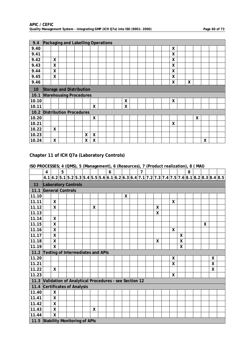| 9.4   |                                |                    |  |   |   | Packaging and Labelling Operations |  |   |  |  |   |   |   |  |  |
|-------|--------------------------------|--------------------|--|---|---|------------------------------------|--|---|--|--|---|---|---|--|--|
| 9.40  |                                |                    |  |   |   |                                    |  |   |  |  | χ |   |   |  |  |
| 9.41  |                                |                    |  |   |   |                                    |  |   |  |  | Χ |   |   |  |  |
| 9.42  |                                | X                  |  |   |   |                                    |  |   |  |  | χ |   |   |  |  |
| 9.43  |                                | X                  |  |   |   |                                    |  |   |  |  | X |   |   |  |  |
| 9.44  |                                | X                  |  |   |   |                                    |  |   |  |  | X |   |   |  |  |
| 9.45  |                                | $\pmb{\mathsf{X}}$ |  |   |   |                                    |  |   |  |  | Χ |   |   |  |  |
| 9.46  |                                |                    |  |   |   |                                    |  |   |  |  | χ | χ |   |  |  |
| 10    | Storage and Distribution       |                    |  |   |   |                                    |  |   |  |  |   |   |   |  |  |
| 10.1  | <b>Warehousing Procedures</b>  |                    |  |   |   |                                    |  |   |  |  |   |   |   |  |  |
| 10.10 |                                |                    |  |   |   |                                    |  | X |  |  | Χ |   |   |  |  |
| 10.11 |                                |                    |  |   | X |                                    |  | χ |  |  |   |   |   |  |  |
| 10.2  | <b>Distribution Procedures</b> |                    |  |   |   |                                    |  |   |  |  |   |   |   |  |  |
| 10.20 |                                |                    |  |   | X |                                    |  |   |  |  |   |   | χ |  |  |
|       |                                |                    |  |   |   |                                    |  |   |  |  |   |   |   |  |  |
| 10.21 |                                |                    |  |   |   |                                    |  |   |  |  | Χ |   |   |  |  |
| 10.22 |                                | X                  |  |   |   |                                    |  |   |  |  |   |   |   |  |  |
| 10.23 |                                |                    |  | X | X |                                    |  |   |  |  |   |   |   |  |  |

### **Chapter 11 of ICH Q7a (Laboratory Controls)**

**ISO PROCESSES; 4 (QMS), 5 (Management), 6 (Resources), 7 (Product realization), 8 ( MAI)**

|                                   | 4                                                    |              | 5 |  |   | 6 |   | $\overline{7}$ |   |              |   | 8 |   |   |                                                                                             |
|-----------------------------------|------------------------------------------------------|--------------|---|--|---|---|---|----------------|---|--------------|---|---|---|---|---------------------------------------------------------------------------------------------|
|                                   |                                                      |              |   |  |   |   |   |                |   |              |   |   |   |   | 4.1 4.2 5.1 5.2 5.3 5.4 5.5 5.6 6.1 6.2 6.3 6.4 7.1 7.2 7.3 7.4 7.5 7.6 8.1 8.2 8.3 8.4 8.5 |
| 11                                | <b>Laboratory Controls</b>                           |              |   |  |   |   |   |                |   |              |   |   |   |   |                                                                                             |
| 11.1                              | <b>General Controls</b>                              |              |   |  |   |   |   |                |   |              |   |   |   |   |                                                                                             |
| 11.10                             |                                                      |              |   |  |   |   | X |                |   |              |   |   |   |   |                                                                                             |
| 11.11                             |                                                      | X            |   |  |   |   |   |                |   | X            |   |   |   |   |                                                                                             |
| 11.12                             |                                                      | X            |   |  | X |   |   |                | X |              |   |   |   |   |                                                                                             |
| 11.13                             |                                                      |              |   |  |   |   |   |                | χ |              |   |   |   |   |                                                                                             |
| 11.14                             |                                                      | X            |   |  |   |   |   |                |   |              |   |   |   |   |                                                                                             |
| 11.15                             |                                                      | $\mathsf{X}$ |   |  |   |   |   |                |   |              |   |   | X |   |                                                                                             |
| 11.16                             |                                                      | $\mathsf{X}$ |   |  |   |   |   |                |   | X            |   |   |   |   |                                                                                             |
| 11.17                             |                                                      | X            |   |  |   |   |   |                |   |              | X |   |   |   |                                                                                             |
| 11.18                             |                                                      | X            |   |  |   |   |   |                | X |              | X |   |   |   |                                                                                             |
| 11.19                             |                                                      | $\mathsf{X}$ |   |  |   |   |   |                |   |              | X |   |   |   |                                                                                             |
| 11.2                              | Testing of Intermediates and APIs                    |              |   |  |   |   |   |                |   |              |   |   |   |   |                                                                                             |
| 11.20                             |                                                      |              |   |  |   |   |   |                |   | X            |   |   |   | X |                                                                                             |
| 11.21                             |                                                      |              |   |  |   |   |   |                |   | $\mathsf{X}$ |   |   |   | X |                                                                                             |
| 11.22                             |                                                      | $\mathsf{X}$ |   |  |   |   |   |                |   |              |   |   |   | X |                                                                                             |
| 11.23                             |                                                      |              |   |  |   |   |   |                |   | X            |   |   |   |   |                                                                                             |
| 11.3                              | Validation of Analytical Procedures - see Section 12 |              |   |  |   |   |   |                |   |              |   |   |   |   |                                                                                             |
| 11.4                              | <b>Certificates of Analysis</b>                      |              |   |  |   |   |   |                |   |              |   |   |   |   |                                                                                             |
| 11.40                             |                                                      | $\mathsf{X}$ |   |  |   |   |   |                |   |              |   |   |   |   |                                                                                             |
| 11.41                             |                                                      | X            |   |  |   |   |   |                |   |              |   |   |   |   |                                                                                             |
| 11.42                             |                                                      | X            |   |  |   |   |   |                |   |              |   |   |   |   |                                                                                             |
| 11.43                             |                                                      | X            |   |  | X |   |   |                |   |              |   |   |   |   |                                                                                             |
| 11.44                             |                                                      | $\mathsf{X}$ |   |  |   |   |   |                |   |              |   |   |   |   |                                                                                             |
| 11.5 Stability Monitoring of APIs |                                                      |              |   |  |   |   |   |                |   |              |   |   |   |   |                                                                                             |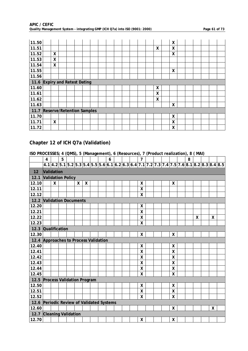| 11.50                         |                                  |   |  |  |  |  |  |  |   | χ |  |  |  |
|-------------------------------|----------------------------------|---|--|--|--|--|--|--|---|---|--|--|--|
| 11.51                         |                                  |   |  |  |  |  |  |  | X | X |  |  |  |
| 11.52                         |                                  | X |  |  |  |  |  |  |   | X |  |  |  |
| 11.53                         |                                  | X |  |  |  |  |  |  |   |   |  |  |  |
| 11.54                         |                                  | X |  |  |  |  |  |  |   |   |  |  |  |
| 11.55                         |                                  |   |  |  |  |  |  |  |   | X |  |  |  |
| 11.56                         |                                  |   |  |  |  |  |  |  |   |   |  |  |  |
| 11.6 Expiry and Retest Dating |                                  |   |  |  |  |  |  |  |   |   |  |  |  |
| 11.60                         |                                  |   |  |  |  |  |  |  | χ |   |  |  |  |
| 11.61                         |                                  |   |  |  |  |  |  |  | χ |   |  |  |  |
| 11.62                         |                                  |   |  |  |  |  |  |  | X |   |  |  |  |
| 11.63                         |                                  |   |  |  |  |  |  |  |   | χ |  |  |  |
| 11.7                          | <b>Reserve/Retention Samples</b> |   |  |  |  |  |  |  |   |   |  |  |  |
| 11.70                         |                                  |   |  |  |  |  |  |  |   | χ |  |  |  |
| 11.71                         |                                  | X |  |  |  |  |  |  |   | X |  |  |  |
| 11.72                         |                                  |   |  |  |  |  |  |  |   | χ |  |  |  |

### **Chapter 12 of ICH Q7a (Validation)**

|                                       | $\overline{4}$                       |   | 5 |  |   |   |  |  | 6 |  |  |  | $\overline{7}$            |  |  |   | 8 |   |   |                                                                       |
|---------------------------------------|--------------------------------------|---|---|--|---|---|--|--|---|--|--|--|---------------------------|--|--|---|---|---|---|-----------------------------------------------------------------------|
|                                       |                                      |   |   |  |   |   |  |  |   |  |  |  |                           |  |  |   |   |   |   | 4.14.25.15.25.35.45.55.66.16.26.36.47.17.27.37.47.57.68.18.28.38.48.5 |
| 12                                    | Validation                           |   |   |  |   |   |  |  |   |  |  |  |                           |  |  |   |   |   |   |                                                                       |
| 12.1                                  | <b>Validation Policy</b>             |   |   |  |   |   |  |  |   |  |  |  |                           |  |  |   |   |   |   |                                                                       |
| 12.10                                 |                                      | X |   |  | X | X |  |  |   |  |  |  | X                         |  |  | X |   |   |   |                                                                       |
| 12.11                                 |                                      |   |   |  |   |   |  |  |   |  |  |  | X                         |  |  |   |   |   |   |                                                                       |
| 12.12                                 |                                      |   |   |  |   |   |  |  |   |  |  |  | X                         |  |  |   |   |   |   |                                                                       |
| 12.2                                  | <b>Validation Documents</b>          |   |   |  |   |   |  |  |   |  |  |  |                           |  |  |   |   |   |   |                                                                       |
| 12.20                                 |                                      |   |   |  |   |   |  |  |   |  |  |  | X                         |  |  |   |   |   |   |                                                                       |
| 12.21                                 |                                      |   |   |  |   |   |  |  |   |  |  |  | X                         |  |  |   |   |   |   |                                                                       |
| 12.22                                 |                                      |   |   |  |   |   |  |  |   |  |  |  | χ                         |  |  |   |   | χ | χ |                                                                       |
| 12.23                                 |                                      |   |   |  |   |   |  |  |   |  |  |  | Χ                         |  |  |   |   |   |   |                                                                       |
| 12.3                                  | <b>Qualification</b><br>χ<br>Χ       |   |   |  |   |   |  |  |   |  |  |  |                           |  |  |   |   |   |   |                                                                       |
| 12.30                                 |                                      |   |   |  |   |   |  |  |   |  |  |  |                           |  |  |   |   |   |   |                                                                       |
| 12.4 Approaches to Process Validation |                                      |   |   |  |   |   |  |  |   |  |  |  |                           |  |  |   |   |   |   |                                                                       |
| 12.40                                 |                                      |   |   |  |   |   |  |  |   |  |  |  | X                         |  |  | X |   |   |   |                                                                       |
| 12.41                                 |                                      |   |   |  |   |   |  |  |   |  |  |  | χ                         |  |  | Χ |   |   |   |                                                                       |
| 12.42                                 |                                      |   |   |  |   |   |  |  |   |  |  |  | $\boldsymbol{\mathsf{X}}$ |  |  | X |   |   |   |                                                                       |
| 12.43                                 |                                      |   |   |  |   |   |  |  |   |  |  |  | X                         |  |  | X |   |   |   |                                                                       |
| 12.44                                 |                                      |   |   |  |   |   |  |  |   |  |  |  | $\pmb{\mathsf{X}}$        |  |  | Χ |   |   |   |                                                                       |
| 12.45                                 |                                      |   |   |  |   |   |  |  |   |  |  |  | X                         |  |  | X |   |   |   |                                                                       |
| 12.5                                  | <b>Process Validation Program</b>    |   |   |  |   |   |  |  |   |  |  |  |                           |  |  |   |   |   |   |                                                                       |
| 12.50                                 |                                      |   |   |  |   |   |  |  |   |  |  |  | X                         |  |  | X |   |   |   |                                                                       |
| 12.51                                 |                                      |   |   |  |   |   |  |  |   |  |  |  | X                         |  |  | X |   |   |   |                                                                       |
| 12.52                                 |                                      |   |   |  |   |   |  |  |   |  |  |  | $\overline{\mathsf{x}}$   |  |  | X |   |   |   |                                                                       |
| 12.6                                  | Periodic Review of Validated Systems |   |   |  |   |   |  |  |   |  |  |  |                           |  |  |   |   |   |   |                                                                       |
| 12.60                                 |                                      |   |   |  |   |   |  |  |   |  |  |  |                           |  |  | X |   |   | X |                                                                       |
| 12.7 Cleaning Validation              |                                      |   |   |  |   |   |  |  |   |  |  |  |                           |  |  |   |   |   |   |                                                                       |
| 12.70                                 |                                      |   |   |  |   |   |  |  |   |  |  |  | X                         |  |  | X |   |   |   |                                                                       |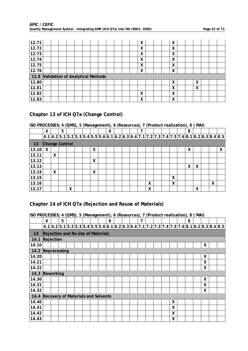| 12.71 |                                  |  |  |  |  |  | X                         |  | X      |  |   |  |  |
|-------|----------------------------------|--|--|--|--|--|---------------------------|--|--------|--|---|--|--|
| 12.72 |                                  |  |  |  |  |  | X                         |  | X      |  |   |  |  |
| 12.73 |                                  |  |  |  |  |  | $\mathbf v$<br>$\lambda$  |  | X      |  |   |  |  |
| 12.74 |                                  |  |  |  |  |  | v<br>∧                    |  | X      |  |   |  |  |
| 12.75 |                                  |  |  |  |  |  | $\mathbf v$<br>v          |  | X      |  |   |  |  |
| 12.76 |                                  |  |  |  |  |  | $\mathbf{v}$              |  | v<br>∧ |  |   |  |  |
| 12.8  | Validation of Analytical Methods |  |  |  |  |  |                           |  |        |  |   |  |  |
| 12.80 |                                  |  |  |  |  |  |                           |  | X      |  | X |  |  |
| 12.81 |                                  |  |  |  |  |  |                           |  | X      |  | X |  |  |
| 12.82 |                                  |  |  |  |  |  | X                         |  | X      |  |   |  |  |
| 12.83 |                                  |  |  |  |  |  | $\mathbf{v}$<br>$\lambda$ |  | X      |  |   |  |  |

### **Chapter 13 of ICH Q7a (Change Control)**

### **ISO PROCESSES; 4 (QMS), 5 (Management), 6 (Resources), 7 (Product realization), 8 ( MAI)**

|       | $\overline{4}$        |   | 5 |   |  |   | 6 |  |  |   |  |   | 8 |   |   |                                                                                             |
|-------|-----------------------|---|---|---|--|---|---|--|--|---|--|---|---|---|---|---------------------------------------------------------------------------------------------|
|       |                       |   |   |   |  |   |   |  |  |   |  |   |   |   |   | 4.1 4.2 5.1 5.2 5.3 5.4 5.5 5.6 6.1 6.2 6.3 6.4 7.1 7.2 7.3 7.4 7.5 7.6 8.1 8.2 8.3 8.4 8.5 |
| 13    | <b>Change Control</b> |   |   |   |  |   |   |  |  |   |  |   |   |   |   |                                                                                             |
| 13.10 | χ                     |   |   |   |  | χ |   |  |  |   |  |   | χ |   |   | X                                                                                           |
| 13.11 |                       | Χ |   |   |  |   |   |  |  |   |  |   |   |   |   |                                                                                             |
| 13.12 |                       |   |   |   |  | X |   |  |  |   |  |   |   |   |   |                                                                                             |
| 13.13 |                       |   |   |   |  |   |   |  |  |   |  |   | X | X |   |                                                                                             |
| 13.14 |                       | X |   |   |  | X |   |  |  |   |  |   |   |   |   |                                                                                             |
| 13.15 |                       |   |   |   |  |   |   |  |  |   |  | X |   |   |   |                                                                                             |
| 13.16 |                       |   |   |   |  |   |   |  |  | χ |  | X |   |   | X |                                                                                             |
| 13.17 |                       |   |   | X |  |   |   |  |  | Χ |  |   |   | χ |   |                                                                                             |

### **Chapter 14 of ICH Q7a (Rejection and Reuse of Materials)**

|       | 4                                         | 5 |  |  | 6 |  | 7 |  |   | 8 |   |                                                                                               |  |
|-------|-------------------------------------------|---|--|--|---|--|---|--|---|---|---|-----------------------------------------------------------------------------------------------|--|
|       |                                           |   |  |  |   |  |   |  |   |   |   | $4.1 4.2 5.1 5.2 5.3 5.4 5.5 5.6 6.1 6.2 6.3 6.4 7.1 7.2 7.3 7.4 7.5 7.6 8.1 8.2 8.3 8.4 8.5$ |  |
| 14    | Rejection and Re-Use of Materials         |   |  |  |   |  |   |  |   |   |   |                                                                                               |  |
| 14.1  | Rejection                                 |   |  |  |   |  |   |  |   |   |   |                                                                                               |  |
| 14.10 |                                           |   |  |  |   |  |   |  |   |   | X |                                                                                               |  |
| 14.2  | Reprocessing                              |   |  |  |   |  |   |  |   |   |   |                                                                                               |  |
| 14.20 |                                           |   |  |  |   |  |   |  |   |   | X |                                                                                               |  |
| 14.21 |                                           |   |  |  |   |  |   |  |   |   | X |                                                                                               |  |
| 14.22 |                                           |   |  |  |   |  |   |  |   |   | X |                                                                                               |  |
| 14.3  | Reworking                                 |   |  |  |   |  |   |  |   |   |   |                                                                                               |  |
| 14.30 |                                           |   |  |  |   |  |   |  |   |   | X |                                                                                               |  |
| 14.31 |                                           |   |  |  |   |  |   |  |   |   | X |                                                                                               |  |
| 14.32 |                                           |   |  |  |   |  |   |  |   |   | X |                                                                                               |  |
| 14.4  | <b>Recovery of Materials and Solvents</b> |   |  |  |   |  |   |  |   |   |   |                                                                                               |  |
| 14.40 |                                           |   |  |  |   |  |   |  | X |   |   |                                                                                               |  |
| 14.41 |                                           |   |  |  |   |  |   |  | X |   |   |                                                                                               |  |
| 14.42 |                                           |   |  |  |   |  |   |  | X |   |   |                                                                                               |  |
| 14.43 |                                           |   |  |  |   |  |   |  | Χ |   |   |                                                                                               |  |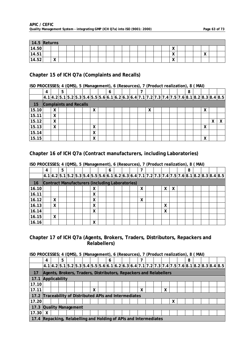| 14.5  | Returns |                         |  |  |  |  |  |  |  |                            |  |                            |  |
|-------|---------|-------------------------|--|--|--|--|--|--|--|----------------------------|--|----------------------------|--|
| 14.50 |         |                         |  |  |  |  |  |  |  | $\mathbf{v}$<br>$\sqrt{ }$ |  |                            |  |
| 14.51 |         |                         |  |  |  |  |  |  |  | $\mathbf{v}$<br>$\sqrt{ }$ |  | $\mathbf{v}$<br>$\sqrt{ }$ |  |
| 14.52 |         | $\cdot$<br>$\mathbf{v}$ |  |  |  |  |  |  |  | $\mathbf{v}$<br>$\lambda$  |  |                            |  |

### **Chapter 15 of ICH Q7a (Complaints and Recalls)**

### **ISO PROCESSES; 4 (QMS), 5 (Management), 6 (Resources), 7 (Product realization), 8 ( MAI)**

|       | 4                             |           | 5 |  |   | 6 |  |  |   |  |  | 8 |        |   |                                                                                             |
|-------|-------------------------------|-----------|---|--|---|---|--|--|---|--|--|---|--------|---|---------------------------------------------------------------------------------------------|
|       |                               |           |   |  |   |   |  |  |   |  |  |   |        |   | 4.1 4.2 5.1 5.2 5.3 5.4 5.5 5.6 6.1 6.2 6.3 6.4 7.1 7.2 7.3 7.4 7.5 7.6 8.1 8.2 8.3 8.4 8.5 |
| 15    | <b>Complaints and Recalls</b> |           |   |  |   |   |  |  |   |  |  |   |        |   |                                                                                             |
| 15.10 |                               | $\lambda$ |   |  | x |   |  |  | х |  |  |   | v<br>v |   |                                                                                             |
| 15.11 |                               | X         |   |  |   |   |  |  |   |  |  |   |        |   |                                                                                             |
| 15.12 |                               | X         |   |  |   |   |  |  |   |  |  |   |        | X |                                                                                             |
| 15.13 |                               | X         |   |  | X |   |  |  |   |  |  |   | X      |   |                                                                                             |
| 15.14 |                               |           |   |  | X |   |  |  |   |  |  |   |        |   |                                                                                             |
| 15.15 |                               |           |   |  | χ |   |  |  |   |  |  |   | v<br>Λ |   |                                                                                             |

### **Chapter 16 of ICH Q7a (Contract manufacturers, including Laboratories)**

|           | $\overline{4}$                                  |   | 5 |  |           | 6 |  |   |  |   |  | 8 |  |                                                                                             |
|-----------|-------------------------------------------------|---|---|--|-----------|---|--|---|--|---|--|---|--|---------------------------------------------------------------------------------------------|
|           |                                                 |   |   |  |           |   |  |   |  |   |  |   |  | 4.1 4.2 5.1 5.2 5.3 5.4 5.5 5.6 6.1 6.2 6.3 6.4 7.1 7.2 7.3 7.4 7.5 7.6 8.1 8.2 8.3 8.4 8.5 |
| <b>16</b> | Contract Manufacturers (including Laboratories) |   |   |  |           |   |  |   |  |   |  |   |  |                                                                                             |
| 16.10     |                                                 |   |   |  | $\lambda$ |   |  | X |  | v |  |   |  |                                                                                             |
| 16.11     |                                                 |   |   |  | X         |   |  |   |  |   |  |   |  |                                                                                             |
| 16.12     |                                                 | X |   |  | X         |   |  | X |  |   |  |   |  |                                                                                             |
| 16.13     |                                                 | X |   |  | X         |   |  |   |  | x |  |   |  |                                                                                             |
| 16.14     |                                                 |   |   |  | X         |   |  |   |  | X |  |   |  |                                                                                             |
| 16.15     |                                                 | X |   |  |           |   |  |   |  |   |  |   |  |                                                                                             |
| 16.16     |                                                 |   |   |  | X         |   |  |   |  |   |  |   |  |                                                                                             |

### **ISO PROCESSES; 4 (QMS), 5 (Management), 6 (Resources), 7 (Product realization), 8 ( MAI)**

### **Chapter 17 of ICH Q7a (Agents, Brokers, Traders, Distributors, Repackers and Relabellers)**

| ISO PROCESSES; 4 (QMS), 5 (Management), 6 (Resources), 7 (Product realization), 8 (MAI) |  |  |
|-----------------------------------------------------------------------------------------|--|--|
|                                                                                         |  |  |

|                                                         | 4                                                                 | 5 |  |   | 6 |  | 7 |  |   |   | 8 |  |                                                                                                                                                                                                                                                                                                                                                                    |  |
|---------------------------------------------------------|-------------------------------------------------------------------|---|--|---|---|--|---|--|---|---|---|--|--------------------------------------------------------------------------------------------------------------------------------------------------------------------------------------------------------------------------------------------------------------------------------------------------------------------------------------------------------------------|--|
|                                                         |                                                                   |   |  |   |   |  |   |  |   |   |   |  | $\left 4.1\right 4.2\left 5.1\right 5.2\left 5.3\right 5.4\left 5.5\right 5.6\left 6.1\right 6.2\left 6.3\right 6.4\left 7.1\right 7.2\left 7.3\right 7.4\left 7.5\right 7.6\left 8.1\right 8.2\left 8.3\right 8.4\left 8.5\right 8.4\left 9.6\right 8.5\right 8.4\left 9.6\right 8.5\right 8.4\left 9.6\right 8.5\right 8.4\left 9.6\right 8.5\right 8.5\right 8$ |  |
| 17                                                      | Agents, Brokers, Traders, Distributors, Repackers and Relabellers |   |  |   |   |  |   |  |   |   |   |  |                                                                                                                                                                                                                                                                                                                                                                    |  |
| 17.1                                                    | Applicability                                                     |   |  |   |   |  |   |  |   |   |   |  |                                                                                                                                                                                                                                                                                                                                                                    |  |
| 17.10                                                   |                                                                   |   |  |   |   |  |   |  |   |   |   |  |                                                                                                                                                                                                                                                                                                                                                                    |  |
| 17.11                                                   |                                                                   |   |  | X |   |  | X |  | χ |   |   |  |                                                                                                                                                                                                                                                                                                                                                                    |  |
| 17.2 Traceability of Distributed APIs and Intermediates |                                                                   |   |  |   |   |  |   |  |   |   |   |  |                                                                                                                                                                                                                                                                                                                                                                    |  |
| 17.20                                                   |                                                                   |   |  |   |   |  |   |  |   | χ |   |  |                                                                                                                                                                                                                                                                                                                                                                    |  |
| 17.3                                                    | <b>Quality Management</b>                                         |   |  |   |   |  |   |  |   |   |   |  |                                                                                                                                                                                                                                                                                                                                                                    |  |
| 17.30                                                   | X                                                                 |   |  |   |   |  |   |  |   |   |   |  |                                                                                                                                                                                                                                                                                                                                                                    |  |
| 17.4                                                    | Repacking, Relabelling and Holding of APIs and Intermediates      |   |  |   |   |  |   |  |   |   |   |  |                                                                                                                                                                                                                                                                                                                                                                    |  |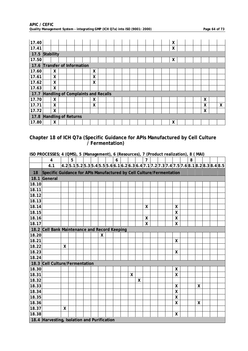| APIC / CEFIC                                                                |  |
|-----------------------------------------------------------------------------|--|
| Quality Management System - integrating GMP (ICH Q7a) into ISO (9001: 2000) |  |

Page 64 of 73

| 17.40 |                                    |   |  |  |   |  |  |  |  | X |  |   |   |
|-------|------------------------------------|---|--|--|---|--|--|--|--|---|--|---|---|
| 17.41 |                                    |   |  |  |   |  |  |  |  | χ |  |   |   |
| 17.5  | Stability                          |   |  |  |   |  |  |  |  |   |  |   |   |
| 17.50 |                                    |   |  |  |   |  |  |  |  | X |  |   |   |
| 17.6  | Transfer of Information            |   |  |  |   |  |  |  |  |   |  |   |   |
| 17.60 |                                    | X |  |  | X |  |  |  |  |   |  |   |   |
| 17.61 |                                    | Χ |  |  | X |  |  |  |  |   |  |   |   |
| 17.62 |                                    | X |  |  | X |  |  |  |  |   |  |   |   |
| 17.63 |                                    | X |  |  |   |  |  |  |  |   |  |   |   |
| 17.7  | Handling of Complaints and Recalls |   |  |  |   |  |  |  |  |   |  |   |   |
| 17.70 |                                    | X |  |  | X |  |  |  |  |   |  | X |   |
| 17.71 |                                    | X |  |  | X |  |  |  |  |   |  | X | X |
| 17.72 |                                    | X |  |  |   |  |  |  |  |   |  | χ |   |
| 17.8  | Handling of Returns                |   |  |  |   |  |  |  |  |   |  |   |   |
| 17.80 |                                    | X |  |  |   |  |  |  |  | x |  |   |   |

### **Chapter 18 of ICH Q7a (Specific Guidance for APIs Manufactured by Cell Culture**  *differentiation*  $\overline{\phantom{a}}$  / Fermentation)

|       | $\overline{4}$                                                       |                    | 5 |  |   | 6 |   |   | $\overline{7}$   |  |                    | 8 |              |                                                                                             |  |
|-------|----------------------------------------------------------------------|--------------------|---|--|---|---|---|---|------------------|--|--------------------|---|--------------|---------------------------------------------------------------------------------------------|--|
|       | 4.1                                                                  |                    |   |  |   |   |   |   |                  |  |                    |   |              | $ 4.2 5.1 5.2 5.3 5.4 5.5 5.6 6.1 6.2 6.3 6.4 7.1 7.2 7.3 7.4 7.5 7.6 8.1 8.2 8.3 8.4 8.5 $ |  |
| 18    | Specific Guidance for APIs Manufactured by Cell Culture/Fermentation |                    |   |  |   |   |   |   |                  |  |                    |   |              |                                                                                             |  |
| 18.1  | General                                                              |                    |   |  |   |   |   |   |                  |  |                    |   |              |                                                                                             |  |
| 18.10 |                                                                      |                    |   |  |   |   |   |   |                  |  |                    |   |              |                                                                                             |  |
| 18.11 |                                                                      |                    |   |  |   |   |   |   |                  |  |                    |   |              |                                                                                             |  |
| 18.12 |                                                                      |                    |   |  |   |   |   |   |                  |  |                    |   |              |                                                                                             |  |
| 18.13 |                                                                      |                    |   |  |   |   |   |   |                  |  |                    |   |              |                                                                                             |  |
| 18.14 |                                                                      |                    |   |  |   |   |   |   | X                |  | X                  |   |              |                                                                                             |  |
| 18.15 |                                                                      |                    |   |  |   |   |   |   |                  |  | χ                  |   |              |                                                                                             |  |
| 18.16 |                                                                      |                    |   |  |   |   |   |   | $\mathsf{X}$     |  | χ                  |   |              |                                                                                             |  |
| 18.17 |                                                                      |                    |   |  |   |   |   |   | $\boldsymbol{X}$ |  | X                  |   |              |                                                                                             |  |
|       | 18.2 Cell Bank Maintenance and Record Keeping                        |                    |   |  |   |   |   |   |                  |  |                    |   |              |                                                                                             |  |
| 18.20 |                                                                      |                    |   |  | X |   |   |   |                  |  |                    |   |              |                                                                                             |  |
| 18.21 |                                                                      |                    |   |  |   |   |   |   |                  |  | X                  |   |              |                                                                                             |  |
| 18.22 |                                                                      | X                  |   |  |   |   |   |   |                  |  |                    |   |              |                                                                                             |  |
| 18.23 |                                                                      |                    |   |  |   |   |   |   |                  |  | X                  |   |              |                                                                                             |  |
| 18.24 |                                                                      |                    |   |  |   |   |   |   |                  |  |                    |   |              |                                                                                             |  |
|       | 18.3 Cell Culture/Fermentation                                       |                    |   |  |   |   |   |   |                  |  |                    |   |              |                                                                                             |  |
| 18.30 |                                                                      |                    |   |  |   |   |   |   |                  |  | X                  |   |              |                                                                                             |  |
| 18.31 |                                                                      |                    |   |  |   |   | X |   |                  |  | X                  |   |              |                                                                                             |  |
| 18.32 |                                                                      |                    |   |  |   |   |   | χ |                  |  |                    |   |              |                                                                                             |  |
| 18.33 |                                                                      |                    |   |  |   |   |   |   |                  |  | X                  |   | X            |                                                                                             |  |
| 18.34 |                                                                      |                    |   |  |   |   |   |   |                  |  | X                  |   |              |                                                                                             |  |
| 18.35 |                                                                      |                    |   |  |   |   |   |   |                  |  | $\pmb{\mathsf{X}}$ |   |              |                                                                                             |  |
| 18.36 |                                                                      |                    |   |  |   |   |   |   |                  |  | $\pmb{\mathsf{X}}$ |   | $\mathsf{X}$ |                                                                                             |  |
| 18.37 |                                                                      | $\pmb{\mathsf{X}}$ |   |  |   |   |   |   |                  |  |                    |   |              |                                                                                             |  |
| 18.38 |                                                                      |                    |   |  |   |   |   |   |                  |  | X                  |   |              |                                                                                             |  |
|       | 18.4 Harvesting, Isolation and Purification                          |                    |   |  |   |   |   |   |                  |  |                    |   |              |                                                                                             |  |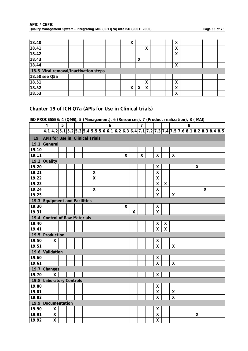| 18.40 |                                       |  |  |  |  | X      |   |   |  | χ |  |  |  |
|-------|---------------------------------------|--|--|--|--|--------|---|---|--|---|--|--|--|
| 18.41 |                                       |  |  |  |  |        |   | X |  | X |  |  |  |
| 18.42 |                                       |  |  |  |  |        |   |   |  | X |  |  |  |
| 18.43 |                                       |  |  |  |  |        | X |   |  |   |  |  |  |
| 18.44 |                                       |  |  |  |  |        |   |   |  | X |  |  |  |
|       | 18.5 Viral removal/inactivation steps |  |  |  |  |        |   |   |  |   |  |  |  |
|       | 18.50 see Q5a                         |  |  |  |  |        |   |   |  |   |  |  |  |
| 18.51 |                                       |  |  |  |  |        |   | X |  | X |  |  |  |
| 18.52 |                                       |  |  |  |  | v<br>Λ | χ | χ |  | χ |  |  |  |
|       |                                       |  |  |  |  |        |   |   |  |   |  |  |  |

### **Chapter 19 of ICH Q7a (APIs for Use in Clinical trials)**

|                               | $\overline{4}$                         |                         | 5 |  |                         | $\boldsymbol{6}$ |              |                    | $\overline{7}$ |                           |                    |                           | 8 |                    |   |                                                                                                |  |
|-------------------------------|----------------------------------------|-------------------------|---|--|-------------------------|------------------|--------------|--------------------|----------------|---------------------------|--------------------|---------------------------|---|--------------------|---|------------------------------------------------------------------------------------------------|--|
|                               |                                        |                         |   |  |                         |                  |              |                    |                |                           |                    |                           |   |                    |   | $4.1 4.2 5.1 5.2 5.3 5.4 5.5 5.6 6.1 6.2 6.3 6.4 7.1 7.2 7.3 7.4 7.5 7.6 8.1 8.2 8.3 8.4 8.5 $ |  |
| 19                            | <b>APIs for Use in Clinical Trials</b> |                         |   |  |                         |                  |              |                    |                |                           |                    |                           |   |                    |   |                                                                                                |  |
| 19.1                          | General                                |                         |   |  |                         |                  |              |                    |                |                           |                    |                           |   |                    |   |                                                                                                |  |
| 19.10                         |                                        |                         |   |  |                         |                  |              |                    |                |                           |                    |                           |   |                    |   |                                                                                                |  |
| 19.11                         |                                        |                         |   |  |                         |                  | $\mathsf{X}$ |                    | $\mathsf{X}$   | $\mathsf{X}$              |                    | $\mathsf{X}$              |   |                    |   |                                                                                                |  |
| 19.2 Quality                  |                                        |                         |   |  |                         |                  |              |                    |                |                           |                    |                           |   |                    |   |                                                                                                |  |
| 19.20                         |                                        |                         |   |  |                         |                  |              |                    |                | χ                         |                    |                           |   | X                  |   |                                                                                                |  |
| 19.21                         |                                        |                         |   |  | $\pmb{\mathsf{X}}$      |                  |              |                    |                | X                         |                    |                           |   |                    |   |                                                                                                |  |
| 19.22                         |                                        |                         |   |  | $\overline{\mathsf{x}}$ |                  |              |                    |                | $\mathsf{\overline{X}}$   |                    |                           |   |                    |   |                                                                                                |  |
| 19.23                         |                                        |                         |   |  |                         |                  |              |                    |                | $\mathsf{\chi}$           | $\pmb{\mathsf{X}}$ |                           |   |                    |   |                                                                                                |  |
| 19.24                         |                                        |                         |   |  | $\pmb{\mathsf{X}}$      |                  |              |                    |                | $\boldsymbol{\mathsf{X}}$ |                    |                           |   |                    | X |                                                                                                |  |
| 19.25                         |                                        |                         |   |  |                         |                  |              |                    |                | $\overline{\mathsf{X}}$   |                    | $\mathsf{X}$              |   |                    |   |                                                                                                |  |
| 19.3 Equipment and Facilities |                                        |                         |   |  |                         |                  |              |                    |                |                           |                    |                           |   |                    |   |                                                                                                |  |
| 19.30                         |                                        |                         |   |  |                         |                  | X            |                    |                | χ                         |                    |                           |   |                    |   |                                                                                                |  |
| 19.31                         |                                        |                         |   |  |                         |                  |              | $\pmb{\mathsf{X}}$ |                | $\overline{\mathsf{X}}$   |                    |                           |   |                    |   |                                                                                                |  |
| 19.4 Control of Raw Materials |                                        |                         |   |  |                         |                  |              |                    |                |                           |                    |                           |   |                    |   |                                                                                                |  |
| 19.40                         |                                        |                         |   |  |                         |                  |              |                    |                | χ                         | Χ                  |                           |   |                    |   |                                                                                                |  |
| 19.41                         |                                        |                         |   |  |                         |                  |              |                    |                | X                         | X                  |                           |   |                    |   |                                                                                                |  |
| 19.5 Production               |                                        |                         |   |  |                         |                  |              |                    |                |                           |                    |                           |   |                    |   |                                                                                                |  |
| 19.50                         |                                        | $\boldsymbol{X}$        |   |  |                         |                  |              |                    |                | X                         |                    |                           |   |                    |   |                                                                                                |  |
| 19.51                         |                                        |                         |   |  |                         |                  |              |                    |                | $\mathsf{X}$              |                    | $\mathsf{X}$              |   |                    |   |                                                                                                |  |
| 19.6 Validation               |                                        |                         |   |  |                         |                  |              |                    |                |                           |                    |                           |   |                    |   |                                                                                                |  |
| 19.60                         |                                        |                         |   |  |                         |                  |              |                    |                | X                         |                    |                           |   |                    |   |                                                                                                |  |
| 19.61                         |                                        |                         |   |  |                         |                  |              |                    |                | $\mathsf{\overline{X}}$   |                    | $\mathsf{\chi}$           |   |                    |   |                                                                                                |  |
| 19.7 Changes                  |                                        |                         |   |  |                         |                  |              |                    |                |                           |                    |                           |   |                    |   |                                                                                                |  |
| 19.70                         |                                        | $\mathsf{X}$            |   |  |                         |                  |              |                    |                | X                         |                    |                           |   |                    |   |                                                                                                |  |
| 19.8 Laboratory Controls      |                                        |                         |   |  |                         |                  |              |                    |                |                           |                    |                           |   |                    |   |                                                                                                |  |
| 19.80                         |                                        |                         |   |  |                         |                  |              |                    |                | χ                         |                    |                           |   |                    |   |                                                                                                |  |
| 19.81                         |                                        |                         |   |  |                         |                  |              |                    |                | $\mathsf{\chi}$           |                    | $\boldsymbol{\mathsf{X}}$ |   |                    |   |                                                                                                |  |
| 19.82                         |                                        |                         |   |  |                         |                  |              |                    |                | X                         |                    | $\overline{\mathsf{x}}$   |   |                    |   |                                                                                                |  |
| 19.9 Documentation            |                                        |                         |   |  |                         |                  |              |                    |                |                           |                    |                           |   |                    |   |                                                                                                |  |
| 19.90                         |                                        | X                       |   |  |                         |                  |              |                    |                | X                         |                    |                           |   |                    |   |                                                                                                |  |
| 19.91                         |                                        | $\pmb{\mathsf{X}}$      |   |  |                         |                  |              |                    |                | $\pmb{\mathsf{X}}$        |                    |                           |   | $\pmb{\mathsf{X}}$ |   |                                                                                                |  |
| 19.92                         |                                        | $\overline{\mathsf{X}}$ |   |  |                         |                  |              |                    |                | $\mathsf{\overline{X}}$   |                    |                           |   |                    |   |                                                                                                |  |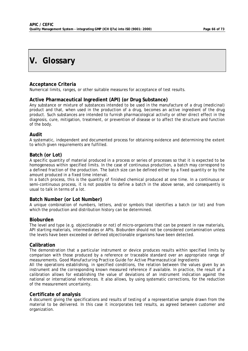# **V. Glossary**

### **Acceptance Criteria**

Numerical limits, ranges, or other suitable measures for acceptance of test results.

### **Active Pharmaceutical Ingredient (API) (or Drug Substance)**

Any substance or mixture of substances intended to be used in the manufacture of a drug (medicinal) product and that, when used in the production of a drug, becomes an active ingredient of the drug product. Such substances are intended to furnish pharmacological activity or other direct effect in the diagnosis, cure, mitigation, treatment, or prevention of disease or to affect the structure and function of the body.

### **Audit**

A systematic, independent and documented process for obtaining evidence and determining the extent to which given requirements are fulfilled.

### **Batch (or Lot)**

A specific quantity of material produced in a process or series of processes so that it is expected to be homogeneous within specified limits. In the case of continuous production, a batch may correspond to a defined fraction of the production. The batch size can be defined either by a fixed quantity or by the amount produced in a fixed time interval.

In a batch process, this is the quantity of finished chemical produced at one time. In a continuous or semi-continuous process, it is not possible to define a batch in the above sense, and consequently is usual to talk in terms of a lot.

### **Batch Number (or Lot Number)**

A unique combination of numbers, letters, and/or symbols that identifies a batch (or lot) and from which the production and distribution history can be determined.

### **Bioburden**

The level and type (e.g. objectionable or not) of micro-organisms that can be present in raw materials, API starting materials, intermediates or APIs. Bioburden should not be considered contamination unless the levels have been exceeded or defined objectionable organisms have been detected.

### **Calibration**

The demonstration that a particular instrument or device produces results within specified limits by comparison with those produced by a reference or traceable standard over an appropriate range of measurements. *Good Manufacturing Practice Guide for Active Pharmaceutical Ingredients*

All the operations establishing, in specified conditions, the relation between the values given by an instrument and the corresponding known measured reference if available. In practice, the result of a calibration allows for establishing the value of deviations of an instrument indication against the national or international references. It also allows, by using systematic corrections, for the reduction of the measurement uncertainty.

### **Certificate of analysis**

A document giving the specifications and results of testing of a representative sample drawn from the material to be delivered. In this case it incorporates test results, as agreed between customer and organization.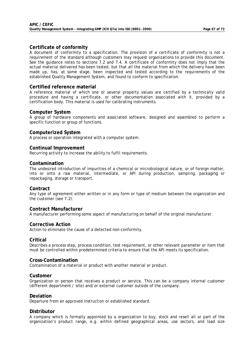### **Certificate of conformity**

A document of conformity to a specification. The provision of a certificate of conformity is not a requirement of the standard although customers may request organizations to provide this document. See the guidance notes to sections 7.2 and 7.4. A certificate of conformity does not imply that the actual material delivered has been tested, but that all the material from which the delivery have been made up, has, at some stage, been inspected and tested according to the requirements of the established Quality Management System, and found to conform to specification.

### **Certified reference material**

A reference material of which one or several property values are certified by a technically valid procedure and having a certificate, or other documentation associated with it, provided by a certification body. This material is used for calibrating instruments.

#### **Computer System**

A group of hardware components and associated software, designed and assembled to perform a specific function or group of functions.

### **Computerized System**

A process or operation integrated with a computer system.

#### **Continual Improvement**

Recurring activity to increase the ability to fulfil requirements.

#### **Contamination**

The undesired introduction of impurities of a chemical or microbiological nature, or of foreign matter, into or onto a raw material, intermediate, or API during production, sampling, packaging or repackaging, storage or transport.

#### **Contract**

Any type of agreement either written or in any form or type of medium between the organization and the customer (see 7.2).

### **Contract Manufacturer**

A manufacturer performing some aspect of manufacturing on behalf of the original manufacturer.

### **Corrective Action**

Action to eliminate the cause of a detected non-conformity.

#### **Critical**

Describes a process step, process condition, test requirement, or other relevant parameter or item that must be controlled within predetermined criteria to ensure that the API meets its specification.

#### **Cross-Contamination**

Contamination of a material or product with another material or product.

#### **Customer**

Organization or person that receives a product or service. This can be a company internal customer (different department / site) and/or external customer outside of the company.

### **Deviation**

Departure from an approved instruction or established standard.

### **Distributor**

A company which is formally appointed by a organization to buy, stock and resell all or part of the organization's product range, e.g. within defined geographical areas, use sectors, and load size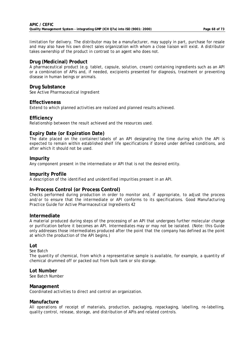limitation for delivery. The distributor may be a manufacturer, may supply in part, purchase for resale and may also have his own direct sales organization with whom a close liaison will exist. A distributor takes ownership of the product in contrast to an agent who does not.

### **Drug (Medicinal) Product**

A pharmaceutical product (e.g. tablet, capsule, solution, cream) containing ingredients such as an API or a combination of APIs and, if needed, excipients presented for diagnosis, treatment or preventing disease in human beings or animals.

### **Drug Substance**

See Active Pharmaceutical Ingredient

#### **Effectiveness**

Extend to which planned activities are realized and planned results achieved.

### **Efficiency**

Relationship between the result achieved and the resources used.

### **Expiry Date (or Expiration Date)**

The date placed on the container/labels of an API designating the time during which the API is expected to remain within established shelf life specifications if stored under defined conditions, and after which it should not be used.

### **Impurity**

Any component present in the intermediate or API that is not the desired entity.

### **Impurity Profile**

A description of the identified and unidentified impurities present in an API.

### **In-Process Control (or Process Control)**

Checks performed during production in order to monitor and, if appropriate, to adjust the process and/or to ensure that the intermediate or API conforms to its specifications. *Good Manufacturing Practice Guide for Active Pharmaceutical Ingredients* 42

### **Intermediate**

A material produced during steps of the processing of an API that undergoes further molecular change or purification before it becomes an API. Intermediates may or may not be isolated. (Note: this Guide only addresses those intermediates produced after the point that the company has defined as the point at which the production of the API begins.)

### **Lot**

See Batch

The quantity of chemical, from which a representative sample is available, for example, a quantity of chemical drummed off or packed out from bulk tank or silo storage.

### **Lot Number**

See Batch Number

### **Management**

Coordinated activities to direct and control an organization.

### **Manufacture**

All operations of receipt of materials, production, packaging, repackaging, labelling, re-labelling, quality control, release, storage, and distribution of APIs and related controls.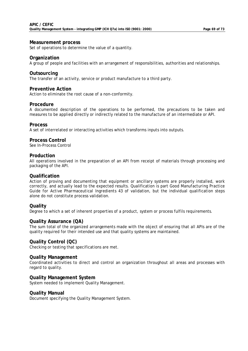#### **Measurement process**

Set of operations to determine the value of a quantity.

#### **Organization**

A group of people and facilities with an arrangement of responsibilities, authorities and relationships.

#### **Outsourcing**

The transfer of an activity, service or product manufacture to a third party.

#### **Preventive Action**

Action to eliminate the root cause of a non-conformity.

#### **Procedure**

A documented description of the operations to be performed, the precautions to be taken and measures to be applied directly or indirectly related to the manufacture of an intermediate or API.

#### **Process**

A set of interrelated or interacting activities which transforms inputs into outputs.

#### **Process Control**

See In-Process Control

#### **Production**

All operations involved in the preparation of an API from receipt of materials through processing and packaging of the API.

#### **Qualification**

Action of proving and documenting that equipment or ancillary systems are properly installed, work correctly, and actually lead to the expected results. Qualification is part *Good Manufacturing Practice Guide for Active Pharmaceutical Ingredients* 43 of validation, but the individual qualification steps alone do not constitute process validation.

### **Quality**

Degree to which a set of inherent properties of a product, system or process fulfils requirements.

### **Quality Assurance (QA)**

The sum total of the organized arrangements made with the object of ensuring that all APIs are of the quality required for their intended use and that quality systems are maintained.

### **Quality Control (QC)**

Checking or testing that specifications are met.

#### **Quality Management**

Coordinated activities to direct and control an organization throughout all areas and processes with regard to quality.

#### **Quality Management System**

System needed to implement Quality Management.

#### **Quality Manual**

Document specifying the Quality Management System.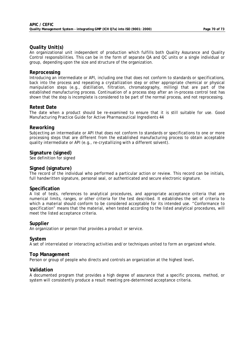### **Quality Unit(s)**

An organizational unit independent of production which fulfills both Quality Assurance and Quality Control responsibilities. This can be in the form of separate QA and QC units or a single individual or group, depending upon the size and structure of the organization.

#### **Reprocessing**

Introducing an intermediate or API, including one that does not conform to standards or specifications, back into the process and repeating a crystallization step or other appropriate chemical or physical manipulation steps (e.g., distillation, filtration, chromatography, milling) that are part of the established manufacturing process. Continuation of a process step after an in-process control test has shown that the step is incomplete is considered to be part of the normal process, and not reprocessing.

### **Retest Date**

The date when a product should be re-examined to ensure that it is still suitable for use. *Good Manufacturing Practice Guide for Active Pharmaceutical Ingredients* 44

#### **Reworking**

Subjecting an intermediate or API that does not conform to standards or specifications to one or more processing steps that are different from the established manufacturing process to obtain acceptable quality intermediate or API (e.g., re-crystallizing with a different solvent).

### **Signature (signed)**

See definition for signed

#### **Signed (signature)**

The record of the individual who performed a particular action or review. This record can be initials, full handwritten signature, personal seal, or authenticated and secure electronic signature.

#### **Specification**

A list of tests, references to analytical procedures, and appropriate acceptance criteria that are numerical limits, ranges, or other criteria for the test described. It establishes the set of criteria to which a material should conform to be considered acceptable for its intended use. "Conformance to specification" means that the material, when tested according to the listed analytical procedures, will meet the listed acceptance criteria.

### **Supplier**

An organization or person that provides a product or service.

### **System**

A set of interrelated or interacting activities and/or techniques united to form an organized whole.

#### **Top Management**

Person or group of people who directs and controls an organization at the highest level**.** 

#### **Validation**

A documented program that provides a high degree of assurance that a specific process, method, or system will consistently produce a result meeting pre-determined acceptance criteria.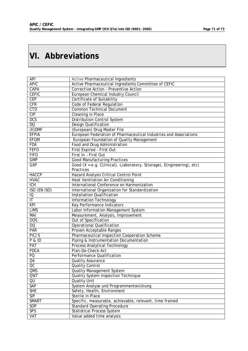# **VI. Abbreviations**

| <b>API</b>                        | <b>Active Pharmaceutical Ingredients</b>                               |
|-----------------------------------|------------------------------------------------------------------------|
| <b>APIC</b>                       | Active Pharmaceutical Ingredients Committee of CEFIC                   |
| <b>CAPA</b>                       | Corrective Action - Preventive Action                                  |
| <b>CEFIC</b>                      | European Chemical Industry Council                                     |
| <b>CEP</b>                        | Certificate of Suitability                                             |
| CFR                               | Code of Federal Regulation                                             |
| <b>CTD</b>                        | <b>Common Technical Document</b>                                       |
| CIP                               | Cleaning in Place                                                      |
| <b>DCS</b>                        | <b>Distribution Control System</b>                                     |
| DQ                                | <b>Design Qualification</b>                                            |
| $(E)$ DMF                         | (European) Drug Master File                                            |
| <b>EFPIA</b>                      | European Federation of Pharmaceutical Industries and Associations      |
| <b>EFQM</b>                       | European Foundation of Quality Management                              |
| <b>FDA</b>                        | Food and Drug Administration                                           |
| <b>FEFO</b>                       | First Expired - First Out                                              |
| <b>FIFO</b>                       | First In - First Out                                                   |
| <b>GMP</b>                        | <b>Good Manufacturing Practices</b>                                    |
| <b>GXP</b>                        | Good (X = e.g. C(linical), L(aboratory, S(torage), E(ngineering), etc) |
|                                   | Practices                                                              |
| <b>HACCP</b>                      | Hazard Analysis Critical Control Point                                 |
| <b>HVAC</b>                       | <b>Heat Ventilation Air Conditioning</b>                               |
| $\overline{ICH}$                  | International Conference on Harmonization                              |
| ISO (EN ISO)                      | International Organization for Standardization                         |
| $\overline{10}$                   | <b>Installation Qualification</b>                                      |
| $\overline{\mathsf{I}\mathsf{T}}$ | <b>Information Technology</b>                                          |
| <b>KPI</b>                        | <b>Key Performance Indicators</b>                                      |
| <b>LIMS</b>                       | Labor Information Management System                                    |
| MAI                               | Measurement, Analysis, Improvement                                     |
| $\overline{OOS}$                  | Out of Specification                                                   |
| $\overline{00}$                   | <b>Operational Qualification</b>                                       |
| <b>PAR</b>                        | Proven Acceptable Ranges                                               |
| PIC/S                             | Pharmaceutical Inspection Cooperation Scheme                           |
| P & ID                            | Piping & Instrumentation Documentation                                 |
| <b>PAT</b>                        | Process Analytical Technology                                          |
| <b>PDCA</b>                       | Plan-Do-Check-Act                                                      |
| PQ                                | Performance Qualification                                              |
| QA                                | <b>Quality Assurance</b>                                               |
| OC                                | Quality Control                                                        |
| QMS                               | <b>Quality Management System</b>                                       |
| <b>QSIT</b>                       | <b>Quality System Inspection Technique</b>                             |
| QU                                | <b>Quality Unit</b>                                                    |
| <b>SAP</b>                        | System Analyse und Programmentwicklung                                 |
| <b>SHE</b>                        | Safety, Health, Environment                                            |
| SIP                               | <b>Sterile in Place</b>                                                |
| <b>SMART</b>                      | Specific, measurable, achievable, relevant, time framed                |
| <b>SOP</b>                        | <b>Standard Operating Procedure</b>                                    |
| <b>SPS</b>                        | <b>Statistical Process System</b>                                      |
| <b>VAT</b>                        | Value added time analysis                                              |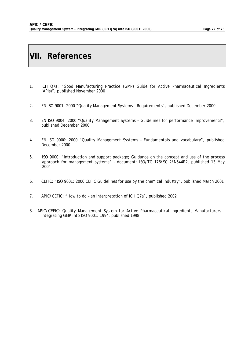# **VII. References**

- 1. ICH Q7a: "Good Manufacturing Practice (GMP) Guide for Active Pharmaceutical Ingredients (APIs)", published November 2000
- 2. EN ISO 9001: 2000 "Quality Management Systems Requirements", published December 2000
- 3. EN ISO 9004: 2000 "Quality Management Systems Guidelines for performance improvements", published December 2000
- 4. EN ISO 9000: 2000 "Quality Management Systems Fundamentals and vocabulary", published December 2000
- 5. ISO 9000: "Introduction and support package; Guidance on the concept and use of the process approach for management systems" – document: ISO/TC 176/SC 2/N544R2, published 13 May 2004
- 6. CEFIC: "ISO 9001: 2000 CEFIC Guidelines for use by the chemical industry", published March 2001
- 7. APIC/CEFIC: "How to do an interpretation of ICH Q7a", published 2002
- 8. APIC/CEFIC: Quality Management System for Active Pharmaceutical Ingredients Manufacturers integrating GMP into ISO 9001: 1994, published 1998